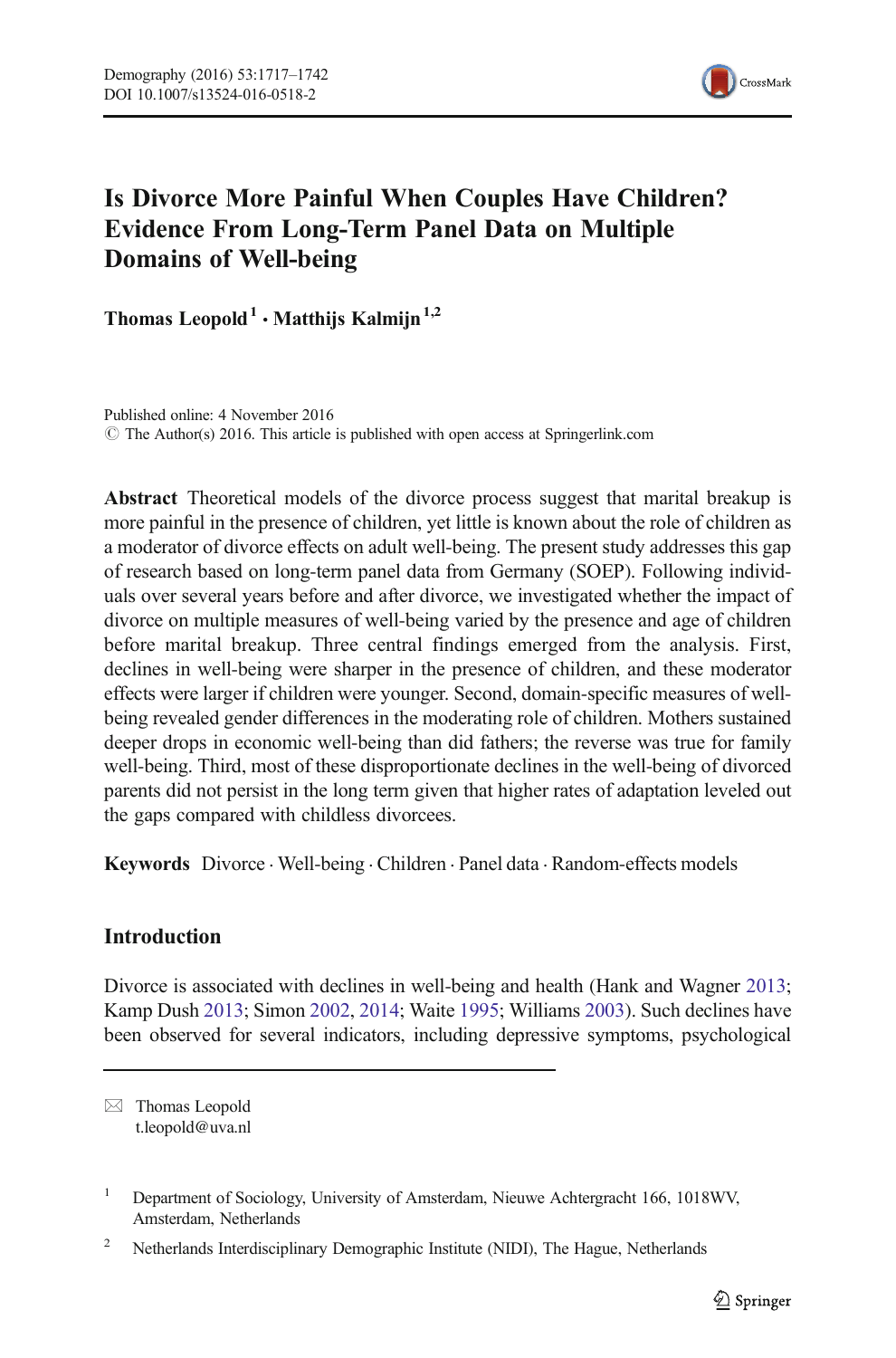

# Is Divorce More Painful When Couples Have Children? Evidence From Long-Term Panel Data on Multiple Domains of Well-being

Thomas Leopold<sup>1</sup> · Matthijs Kalmijn<sup>1,2</sup>

Published online: 4 November 2016  $\odot$  The Author(s) 2016. This article is published with open access at Springerlink.com

Abstract Theoretical models of the divorce process suggest that marital breakup is more painful in the presence of children, yet little is known about the role of children as a moderator of divorce effects on adult well-being. The present study addresses this gap of research based on long-term panel data from Germany (SOEP). Following individuals over several years before and after divorce, we investigated whether the impact of divorce on multiple measures of well-being varied by the presence and age of children before marital breakup. Three central findings emerged from the analysis. First, declines in well-being were sharper in the presence of children, and these moderator effects were larger if children were younger. Second, domain-specific measures of wellbeing revealed gender differences in the moderating role of children. Mothers sustained deeper drops in economic well-being than did fathers; the reverse was true for family well-being. Third, most of these disproportionate declines in the well-being of divorced parents did not persist in the long term given that higher rates of adaptation leveled out the gaps compared with childless divorcees.

Keywords Divorce . Well-being . Children . Panel data . Random-effects models

# **Introduction**

Divorce is associated with declines in well-being and health (Hank and Wagner [2013;](#page-23-0) Kamp Dush [2013;](#page-24-0) Simon [2002,](#page-24-0) [2014;](#page-24-0) Waite [1995;](#page-25-0) Williams [2003\)](#page-25-0). Such declines have been observed for several indicators, including depressive symptoms, psychological

 $\boxtimes$  Thomas Leopold t.leopold@uva.nl

<sup>&</sup>lt;sup>1</sup> Department of Sociology, University of Amsterdam, Nieuwe Achtergracht 166, 1018WV, Amsterdam, Netherlands

<sup>&</sup>lt;sup>2</sup> Netherlands Interdisciplinary Demographic Institute (NIDI), The Hague, Netherlands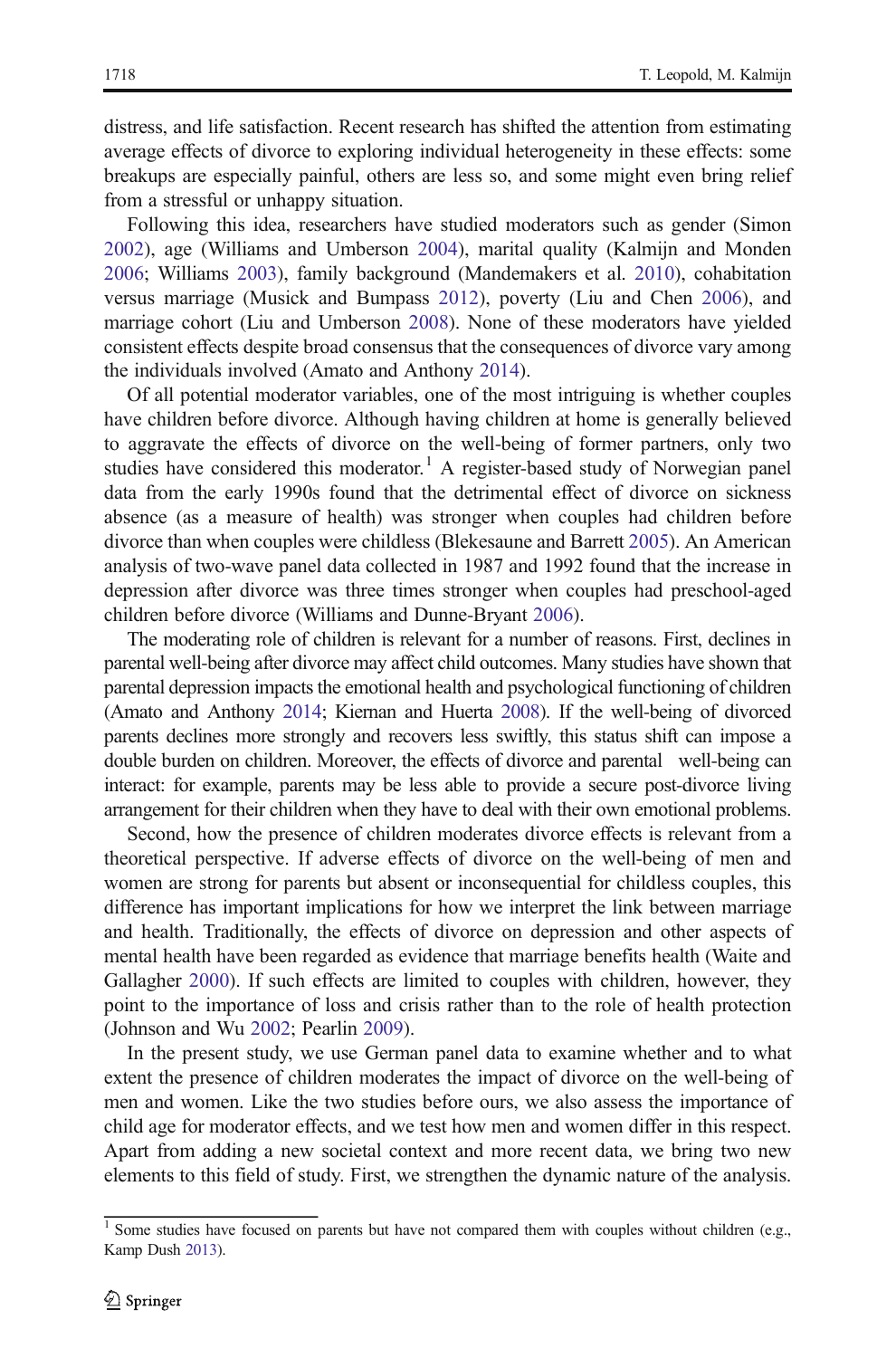distress, and life satisfaction. Recent research has shifted the attention from estimating average effects of divorce to exploring individual heterogeneity in these effects: some breakups are especially painful, others are less so, and some might even bring relief from a stressful or unhappy situation.

Following this idea, researchers have studied moderators such as gender (Simon [2002\)](#page-24-0), age (Williams and Umberson [2004\)](#page-25-0), marital quality (Kalmijn and Monden [2006;](#page-24-0) Williams [2003\)](#page-25-0), family background (Mandemakers et al. [2010\)](#page-24-0), cohabitation versus marriage (Musick and Bumpass [2012\)](#page-24-0), poverty (Liu and Chen [2006](#page-24-0)), and marriage cohort (Liu and Umberson [2008](#page-24-0)). None of these moderators have yielded consistent effects despite broad consensus that the consequences of divorce vary among the individuals involved (Amato and Anthony [2014\)](#page-23-0).

Of all potential moderator variables, one of the most intriguing is whether couples have children before divorce. Although having children at home is generally believed to aggravate the effects of divorce on the well-being of former partners, only two studies have considered this moderator.<sup>1</sup> A register-based study of Norwegian panel data from the early 1990s found that the detrimental effect of divorce on sickness absence (as a measure of health) was stronger when couples had children before divorce than when couples were childless (Blekesaune and Barrett [2005](#page-23-0)). An American analysis of two-wave panel data collected in 1987 and 1992 found that the increase in depression after divorce was three times stronger when couples had preschool-aged children before divorce (Williams and Dunne-Bryant [2006](#page-25-0)).

The moderating role of children is relevant for a number of reasons. First, declines in parental well-being after divorce may affect child outcomes. Many studies have shown that parental depression impacts the emotional health and psychological functioning of children (Amato and Anthony [2014;](#page-23-0) Kiernan and Huerta [2008\)](#page-24-0). If the well-being of divorced parents declines more strongly and recovers less swiftly, this status shift can impose a double burden on children. Moreover, the effects of divorce and parental well-being can interact: for example, parents may be less able to provide a secure post-divorce living arrangement for their children when they have to deal with their own emotional problems.

Second, how the presence of children moderates divorce effects is relevant from a theoretical perspective. If adverse effects of divorce on the well-being of men and women are strong for parents but absent or inconsequential for childless couples, this difference has important implications for how we interpret the link between marriage and health. Traditionally, the effects of divorce on depression and other aspects of mental health have been regarded as evidence that marriage benefits health (Waite and Gallagher [2000](#page-25-0)). If such effects are limited to couples with children, however, they point to the importance of loss and crisis rather than to the role of health protection (Johnson and Wu [2002;](#page-24-0) Pearlin [2009\)](#page-24-0).

In the present study, we use German panel data to examine whether and to what extent the presence of children moderates the impact of divorce on the well-being of men and women. Like the two studies before ours, we also assess the importance of child age for moderator effects, and we test how men and women differ in this respect. Apart from adding a new societal context and more recent data, we bring two new elements to this field of study. First, we strengthen the dynamic nature of the analysis.

<sup>&</sup>lt;sup>1</sup> Some studies have focused on parents but have not compared them with couples without children (e.g., Kamp Dush [2013\)](#page-24-0).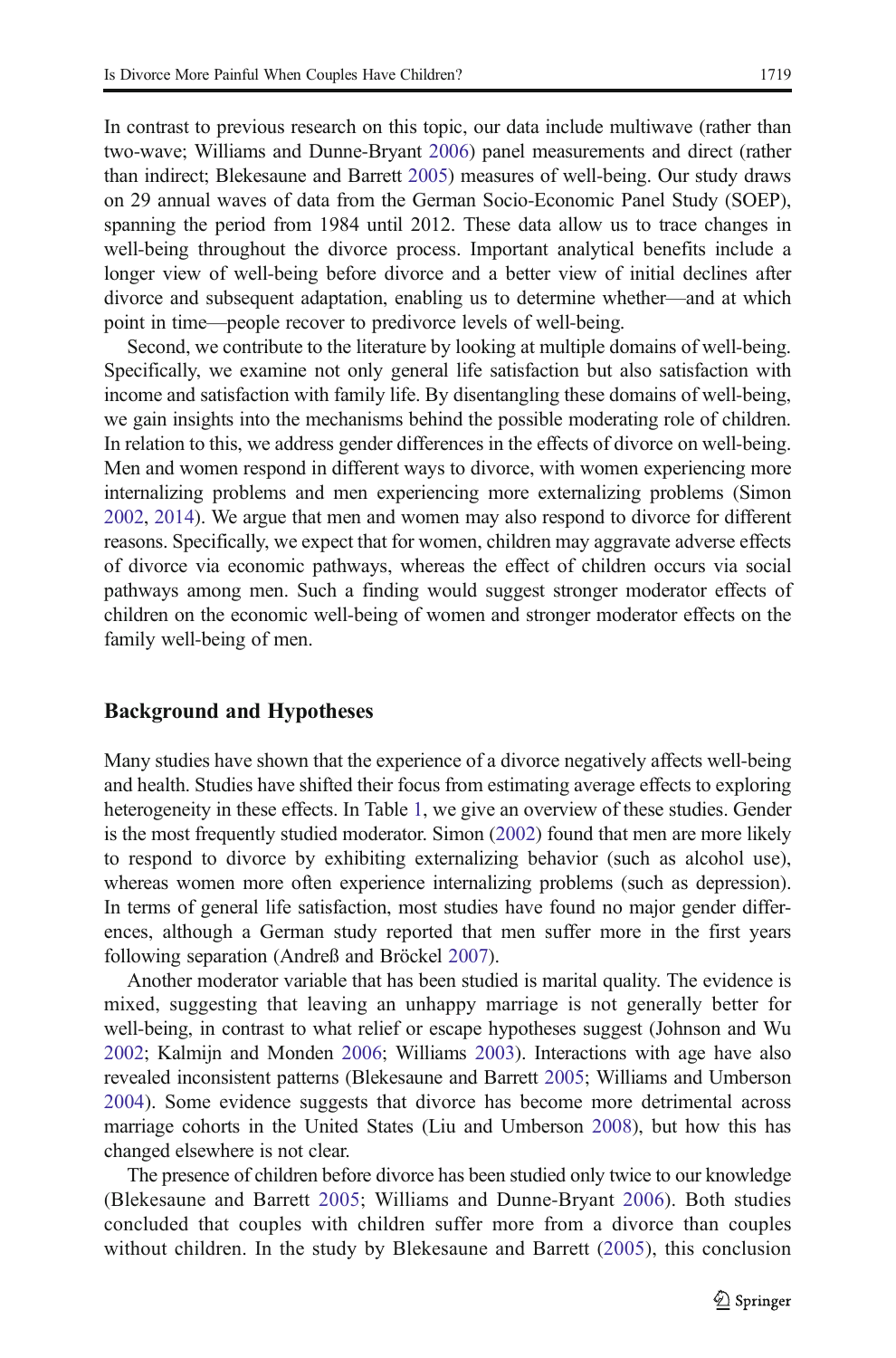In contrast to previous research on this topic, our data include multiwave (rather than two-wave; Williams and Dunne-Bryant [2006](#page-25-0)) panel measurements and direct (rather than indirect; Blekesaune and Barrett [2005\)](#page-23-0) measures of well-being. Our study draws on 29 annual waves of data from the German Socio-Economic Panel Study (SOEP), spanning the period from 1984 until 2012. These data allow us to trace changes in well-being throughout the divorce process. Important analytical benefits include a longer view of well-being before divorce and a better view of initial declines after divorce and subsequent adaptation, enabling us to determine whether—and at which point in time—people recover to predivorce levels of well-being.

Second, we contribute to the literature by looking at multiple domains of well-being. Specifically, we examine not only general life satisfaction but also satisfaction with income and satisfaction with family life. By disentangling these domains of well-being, we gain insights into the mechanisms behind the possible moderating role of children. In relation to this, we address gender differences in the effects of divorce on well-being. Men and women respond in different ways to divorce, with women experiencing more internalizing problems and men experiencing more externalizing problems (Simon [2002,](#page-24-0) [2014](#page-24-0)). We argue that men and women may also respond to divorce for different reasons. Specifically, we expect that for women, children may aggravate adverse effects of divorce via economic pathways, whereas the effect of children occurs via social pathways among men. Such a finding would suggest stronger moderator effects of children on the economic well-being of women and stronger moderator effects on the family well-being of men.

#### Background and Hypotheses

Many studies have shown that the experience of a divorce negatively affects well-being and health. Studies have shifted their focus from estimating average effects to exploring heterogeneity in these effects. In Table [1](#page-3-0), we give an overview of these studies. Gender is the most frequently studied moderator. Simon [\(2002\)](#page-24-0) found that men are more likely to respond to divorce by exhibiting externalizing behavior (such as alcohol use), whereas women more often experience internalizing problems (such as depression). In terms of general life satisfaction, most studies have found no major gender differences, although a German study reported that men suffer more in the first years following separation (Andreß and Bröckel [2007\)](#page-23-0).

Another moderator variable that has been studied is marital quality. The evidence is mixed, suggesting that leaving an unhappy marriage is not generally better for well-being, in contrast to what relief or escape hypotheses suggest (Johnson and Wu [2002;](#page-24-0) Kalmijn and Monden [2006](#page-24-0); Williams [2003\)](#page-25-0). Interactions with age have also revealed inconsistent patterns (Blekesaune and Barrett [2005;](#page-23-0) Williams and Umberson [2004\)](#page-25-0). Some evidence suggests that divorce has become more detrimental across marriage cohorts in the United States (Liu and Umberson [2008](#page-24-0)), but how this has changed elsewhere is not clear.

The presence of children before divorce has been studied only twice to our knowledge (Blekesaune and Barrett [2005;](#page-23-0) Williams and Dunne-Bryant [2006](#page-25-0)). Both studies concluded that couples with children suffer more from a divorce than couples without children. In the study by Blekesaune and Barrett [\(2005\)](#page-23-0), this conclusion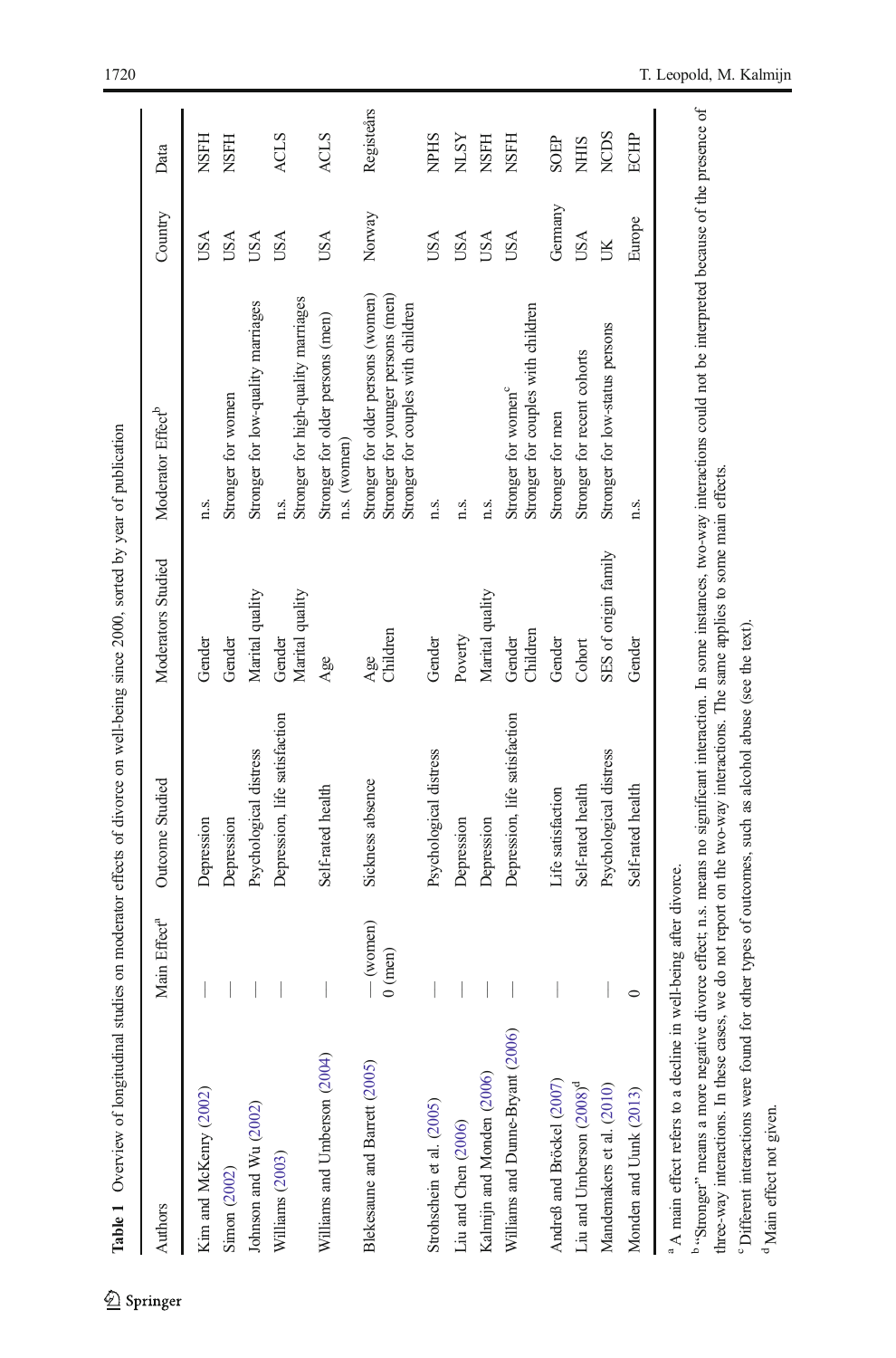<span id="page-3-0"></span>

| Authors                                                                     | Main Effect <sup>a</sup> | Outcome Studied               | Moderators Studied        | Moderator Effect <sup>b</sup>                                                                                  | Country    | Data        |
|-----------------------------------------------------------------------------|--------------------------|-------------------------------|---------------------------|----------------------------------------------------------------------------------------------------------------|------------|-------------|
|                                                                             |                          |                               |                           |                                                                                                                |            |             |
| Kim and McKenry (2002)                                                      |                          | Depression                    | Gender                    | n.s.                                                                                                           | USA        | <b>NSFH</b> |
| Simon (2002)                                                                |                          | Depression                    | Gender                    | Stronger for women                                                                                             | USA        | <b>NSFH</b> |
| Johnson and Wu (2002)                                                       |                          | Psychological distress        | Marital quality           | Stronger for low-quality marriages                                                                             | USA        |             |
| Williams (2003)                                                             |                          | Depression, life satisfaction | Marital quality<br>Gender | Stronger for high-quality marriages<br>n.s.                                                                    | USA        | <b>ACLS</b> |
| Williams and Umberson (2004)                                                |                          | Self-rated health             | Age                       | Stronger for older persons (men)<br>n.s. (women)                                                               | USA        | <b>ACLS</b> |
| Blekesaune and Barrett (2005)                                               | $ (woman)$<br>$0$ (men)  | Sickness absence              | Children<br>Age           | Stronger for older persons (women)<br>Stronger for younger persons (men)<br>Stronger for couples with children | Norway     | Registeårs  |
| Strohschein et al. (2005)                                                   |                          | Psychological distress        | Gender                    | n.s.                                                                                                           | USA        | <b>NPHS</b> |
| Liu and Chen (2006)                                                         |                          | Depression                    | Poverty                   | n.s.                                                                                                           | USA        | <b>NLSY</b> |
| Kalmijn and Monden (2006)                                                   |                          | Depression                    | Marital quality           | n.s.                                                                                                           | USA        | <b>NSFH</b> |
| Williams and Dunne-Bryant (2006)                                            |                          | Depression, life satisfaction | Children<br>Gender        | Stronger for couples with children<br>Stronger for women <sup>c</sup>                                          | USA        | <b>NSFH</b> |
| Andreß and Bröckel (2007)                                                   |                          | Life satisfaction             | Gender                    | Stronger for men                                                                                               | Germany    | SOEP        |
| Liu and Umberson (2008) <sup>d</sup>                                        |                          | Self-rated health             | Cohort                    | Stronger for recent cohorts                                                                                    | <b>USA</b> | <b>NHIS</b> |
| Mandemakers et al. (2010)                                                   |                          | Psychological distress        | SES of origin family      | Stronger for low-status persons                                                                                | ŬK         | <b>NCDS</b> |
| Monden and Uunk (2013)                                                      | $\circ$                  | Self-rated health             | Gender                    | n.s.                                                                                                           | Europe     | ECHP        |
| <sup>a</sup> A main effect refers to a decline in well-being after divorce. |                          |                               |                           |                                                                                                                |            |             |

<sup>b</sup>"Stronger" means a more negative divorce effect; n.s. means no significant interaction. In some instances, two-way interactions could not be interpreted because of the presence of the sence of the strong interactions. I **"Stronger"** means a more negative divorce effect; n.s. means no significant interaction. In some instances, two-way interactions could not be interpreted because of the presence of three-way interactions. In these cases, we do not report on the two-way interactions. The same applies to some main effects. <sup>c</sup> Different interactions were found for other types of outcomes, such as alcohol abuse (see the text). Different interactions were found for other types of outcomes, such as alcohol abuse (see the text).

<sup>d</sup>Main effect not given. Main effect not given.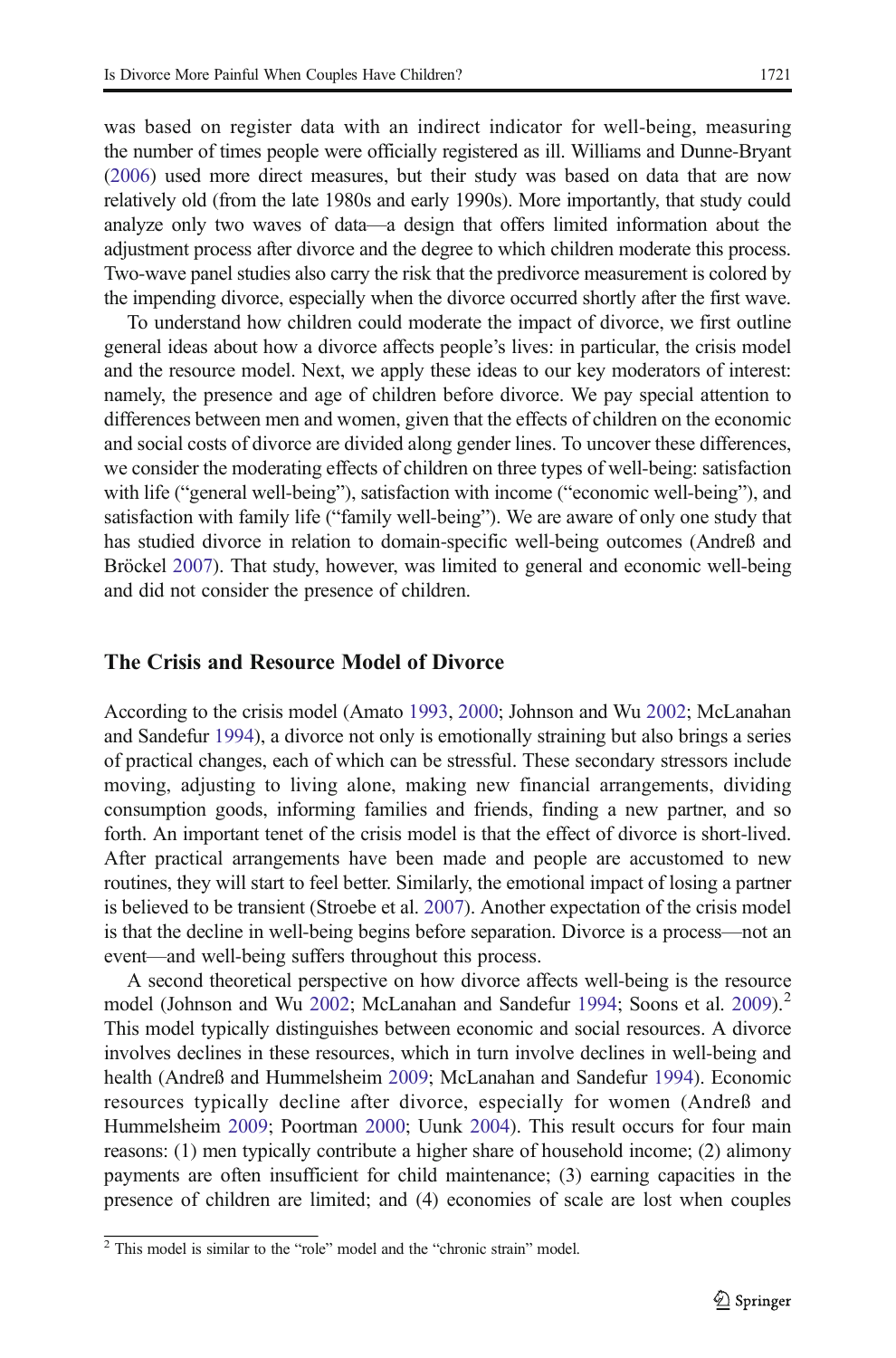was based on register data with an indirect indicator for well-being, measuring the number of times people were officially registered as ill. Williams and Dunne-Bryant [\(2006\)](#page-25-0) used more direct measures, but their study was based on data that are now relatively old (from the late 1980s and early 1990s). More importantly, that study could analyze only two waves of data—a design that offers limited information about the adjustment process after divorce and the degree to which children moderate this process. Two-wave panel studies also carry the risk that the predivorce measurement is colored by the impending divorce, especially when the divorce occurred shortly after the first wave.

To understand how children could moderate the impact of divorce, we first outline general ideas about how a divorce affects people's lives: in particular, the crisis model and the resource model. Next, we apply these ideas to our key moderators of interest: namely, the presence and age of children before divorce. We pay special attention to differences between men and women, given that the effects of children on the economic and social costs of divorce are divided along gender lines. To uncover these differences, we consider the moderating effects of children on three types of well-being: satisfaction with life ("general well-being"), satisfaction with income ("economic well-being"), and satisfaction with family life ("family well-being"). We are aware of only one study that has studied divorce in relation to domain-specific well-being outcomes (Andreß and Bröckel [2007](#page-23-0)). That study, however, was limited to general and economic well-being and did not consider the presence of children.

### The Crisis and Resource Model of Divorce

According to the crisis model (Amato [1993,](#page-23-0) [2000](#page-23-0); Johnson and Wu [2002;](#page-24-0) McLanahan and Sandefur [1994\)](#page-24-0), a divorce not only is emotionally straining but also brings a series of practical changes, each of which can be stressful. These secondary stressors include moving, adjusting to living alone, making new financial arrangements, dividing consumption goods, informing families and friends, finding a new partner, and so forth. An important tenet of the crisis model is that the effect of divorce is short-lived. After practical arrangements have been made and people are accustomed to new routines, they will start to feel better. Similarly, the emotional impact of losing a partner is believed to be transient (Stroebe et al. [2007\)](#page-24-0). Another expectation of the crisis model is that the decline in well-being begins before separation. Divorce is a process—not an event—and well-being suffers throughout this process.

A second theoretical perspective on how divorce affects well-being is the resource model (Johnson and Wu [2002;](#page-24-0) McLanahan and Sandefur [1994;](#page-24-0) Soons et al. [2009\)](#page-24-0).<sup>2</sup> This model typically distinguishes between economic and social resources. A divorce involves declines in these resources, which in turn involve declines in well-being and health (Andreß and Hummelsheim [2009](#page-23-0); McLanahan and Sandefur [1994](#page-24-0)). Economic resources typically decline after divorce, especially for women (Andreß and Hummelsheim [2009](#page-23-0); Poortman [2000;](#page-24-0) Uunk [2004](#page-24-0)). This result occurs for four main reasons: (1) men typically contribute a higher share of household income; (2) alimony payments are often insufficient for child maintenance; (3) earning capacities in the presence of children are limited; and (4) economies of scale are lost when couples

 $2$  This model is similar to the "role" model and the "chronic strain" model.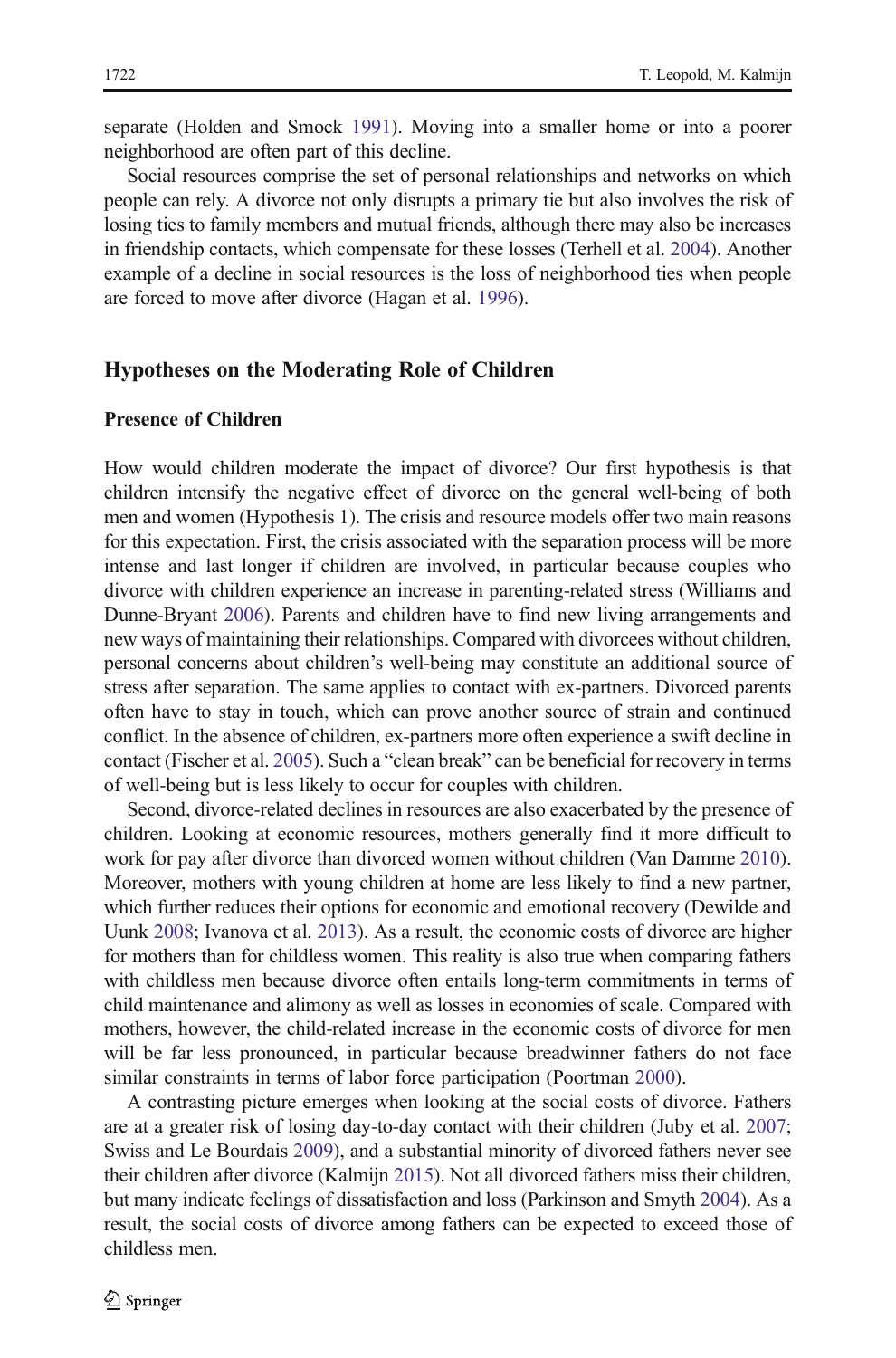separate (Holden and Smock [1991\)](#page-23-0). Moving into a smaller home or into a poorer neighborhood are often part of this decline.

Social resources comprise the set of personal relationships and networks on which people can rely. A divorce not only disrupts a primary tie but also involves the risk of losing ties to family members and mutual friends, although there may also be increases in friendship contacts, which compensate for these losses (Terhell et al. [2004](#page-24-0)). Another example of a decline in social resources is the loss of neighborhood ties when people are forced to move after divorce (Hagan et al. [1996\)](#page-23-0).

#### Hypotheses on the Moderating Role of Children

# Presence of Children

How would children moderate the impact of divorce? Our first hypothesis is that children intensify the negative effect of divorce on the general well-being of both men and women (Hypothesis 1). The crisis and resource models offer two main reasons for this expectation. First, the crisis associated with the separation process will be more intense and last longer if children are involved, in particular because couples who divorce with children experience an increase in parenting-related stress (Williams and Dunne-Bryant [2006](#page-25-0)). Parents and children have to find new living arrangements and new ways of maintaining their relationships. Compared with divorcees without children, personal concerns about children's well-being may constitute an additional source of stress after separation. The same applies to contact with ex-partners. Divorced parents often have to stay in touch, which can prove another source of strain and continued conflict. In the absence of children, ex-partners more often experience a swift decline in contact (Fischer et al. [2005\)](#page-23-0). Such a "clean break" can be beneficial for recovery in terms of well-being but is less likely to occur for couples with children.

Second, divorce-related declines in resources are also exacerbated by the presence of children. Looking at economic resources, mothers generally find it more difficult to work for pay after divorce than divorced women without children (Van Damme [2010\)](#page-25-0). Moreover, mothers with young children at home are less likely to find a new partner, which further reduces their options for economic and emotional recovery (Dewilde and Uunk [2008](#page-23-0); Ivanova et al. [2013](#page-24-0)). As a result, the economic costs of divorce are higher for mothers than for childless women. This reality is also true when comparing fathers with childless men because divorce often entails long-term commitments in terms of child maintenance and alimony as well as losses in economies of scale. Compared with mothers, however, the child-related increase in the economic costs of divorce for men will be far less pronounced, in particular because breadwinner fathers do not face similar constraints in terms of labor force participation (Poortman [2000](#page-24-0)).

A contrasting picture emerges when looking at the social costs of divorce. Fathers are at a greater risk of losing day-to-day contact with their children (Juby et al. [2007;](#page-24-0) Swiss and Le Bourdais [2009\)](#page-24-0), and a substantial minority of divorced fathers never see their children after divorce (Kalmijn [2015\)](#page-24-0). Not all divorced fathers miss their children, but many indicate feelings of dissatisfaction and loss (Parkinson and Smyth [2004](#page-24-0)). As a result, the social costs of divorce among fathers can be expected to exceed those of childless men.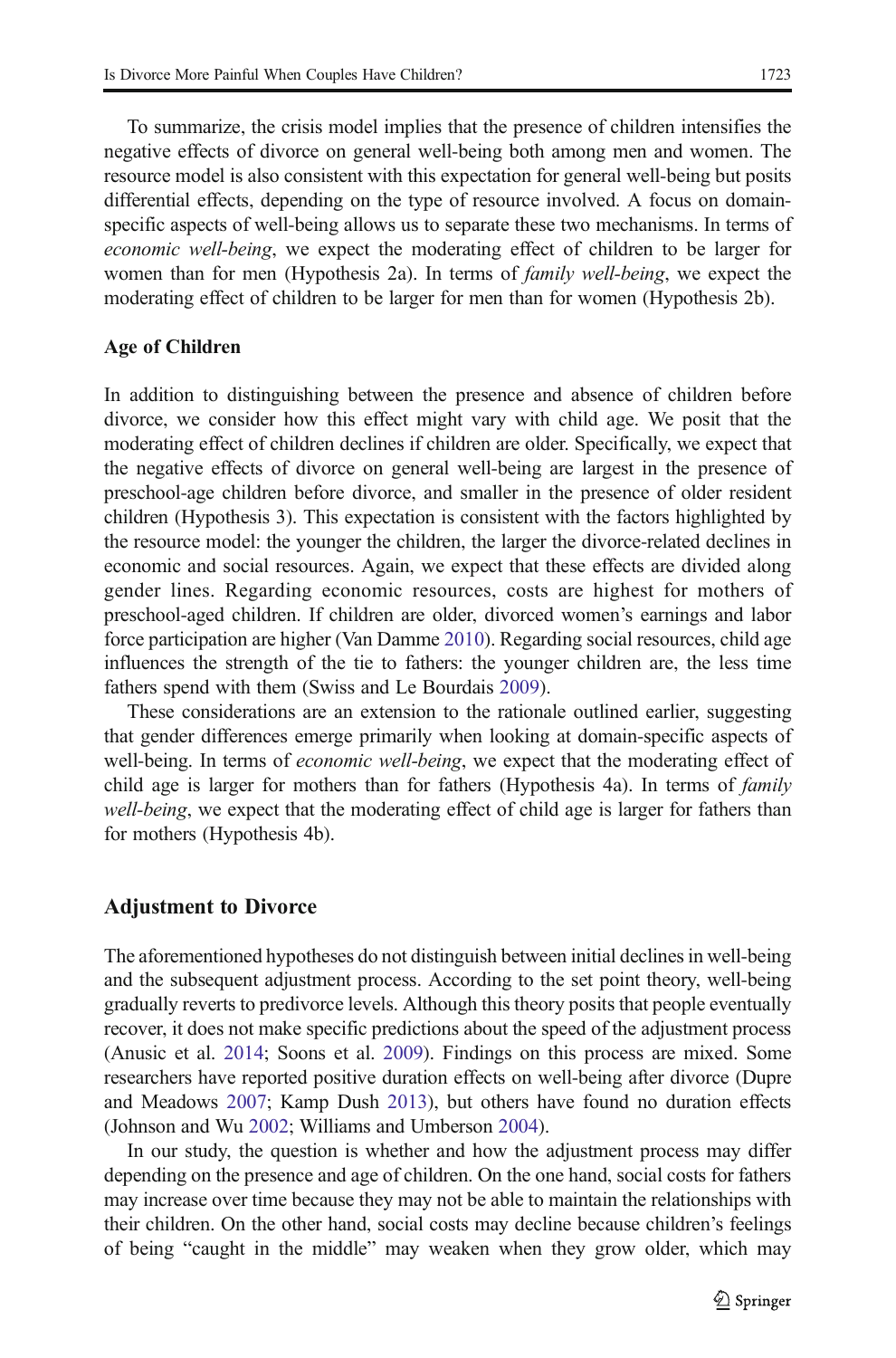To summarize, the crisis model implies that the presence of children intensifies the negative effects of divorce on general well-being both among men and women. The resource model is also consistent with this expectation for general well-being but posits differential effects, depending on the type of resource involved. A focus on domainspecific aspects of well-being allows us to separate these two mechanisms. In terms of economic well-being, we expect the moderating effect of children to be larger for women than for men (Hypothesis 2a). In terms of *family well-being*, we expect the moderating effect of children to be larger for men than for women (Hypothesis 2b).

### Age of Children

In addition to distinguishing between the presence and absence of children before divorce, we consider how this effect might vary with child age. We posit that the moderating effect of children declines if children are older. Specifically, we expect that the negative effects of divorce on general well-being are largest in the presence of preschool-age children before divorce, and smaller in the presence of older resident children (Hypothesis 3). This expectation is consistent with the factors highlighted by the resource model: the younger the children, the larger the divorce-related declines in economic and social resources. Again, we expect that these effects are divided along gender lines. Regarding economic resources, costs are highest for mothers of preschool-aged children. If children are older, divorced women's earnings and labor force participation are higher (Van Damme [2010](#page-25-0)). Regarding social resources, child age influences the strength of the tie to fathers: the younger children are, the less time fathers spend with them (Swiss and Le Bourdais [2009\)](#page-24-0).

These considerations are an extension to the rationale outlined earlier, suggesting that gender differences emerge primarily when looking at domain-specific aspects of well-being. In terms of *economic well-being*, we expect that the moderating effect of child age is larger for mothers than for fathers (Hypothesis 4a). In terms of family well-being, we expect that the moderating effect of child age is larger for fathers than for mothers (Hypothesis 4b).

#### Adjustment to Divorce

The aforementioned hypotheses do not distinguish between initial declines in well-being and the subsequent adjustment process. According to the set point theory, well-being gradually reverts to predivorce levels. Although this theory posits that people eventually recover, it does not make specific predictions about the speed of the adjustment process (Anusic et al. [2014](#page-23-0); Soons et al. [2009\)](#page-24-0). Findings on this process are mixed. Some researchers have reported positive duration effects on well-being after divorce (Dupre and Meadows [2007;](#page-23-0) Kamp Dush [2013\)](#page-24-0), but others have found no duration effects (Johnson and Wu [2002;](#page-24-0) Williams and Umberson [2004](#page-25-0)).

In our study, the question is whether and how the adjustment process may differ depending on the presence and age of children. On the one hand, social costs for fathers may increase over time because they may not be able to maintain the relationships with their children. On the other hand, social costs may decline because children's feelings of being "caught in the middle" may weaken when they grow older, which may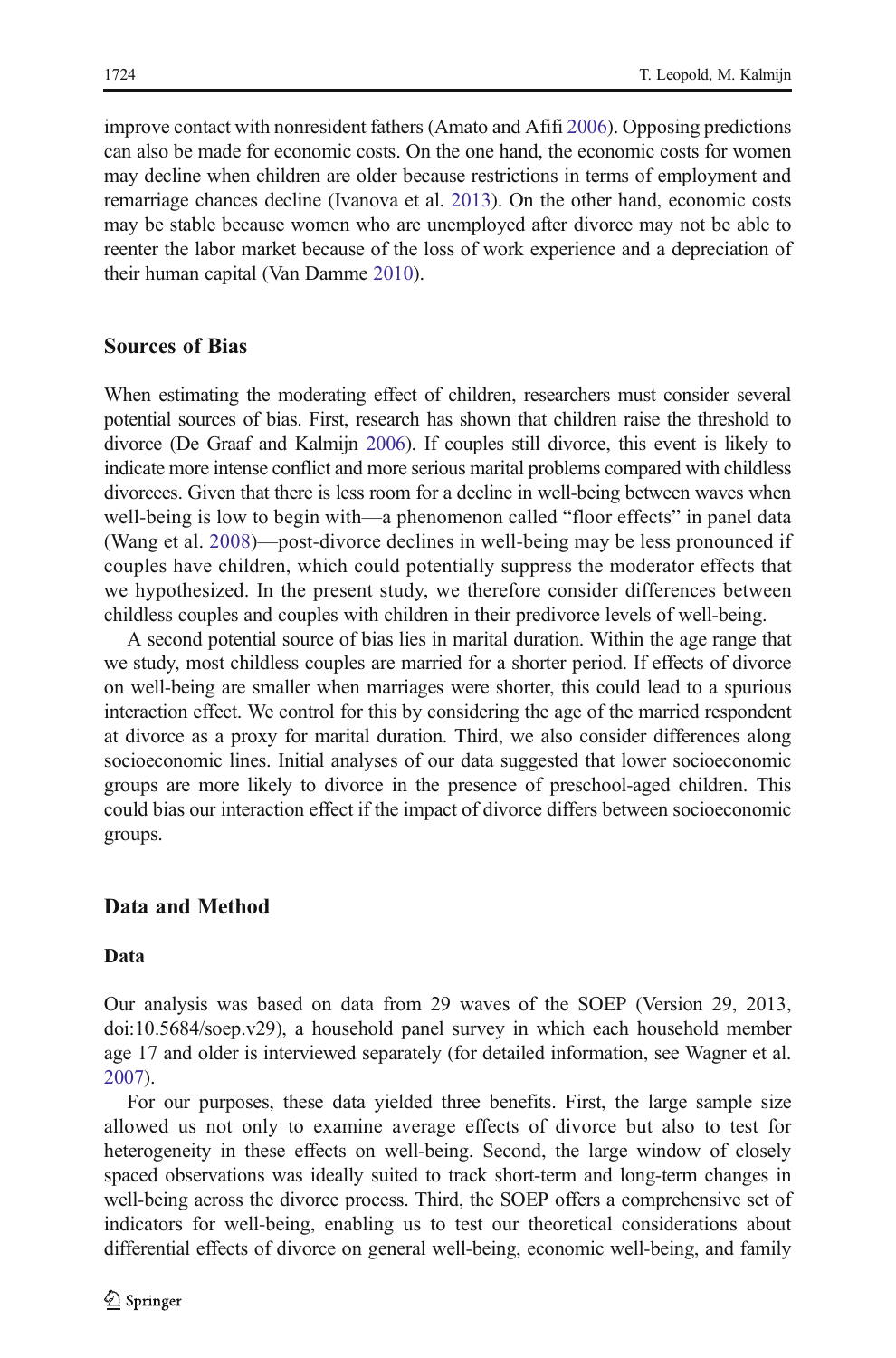improve contact with nonresident fathers (Amato and Afifi [2006\)](#page-23-0). Opposing predictions can also be made for economic costs. On the one hand, the economic costs for women may decline when children are older because restrictions in terms of employment and remarriage chances decline (Ivanova et al. [2013\)](#page-24-0). On the other hand, economic costs may be stable because women who are unemployed after divorce may not be able to reenter the labor market because of the loss of work experience and a depreciation of their human capital (Van Damme [2010\)](#page-25-0).

# Sources of Bias

When estimating the moderating effect of children, researchers must consider several potential sources of bias. First, research has shown that children raise the threshold to divorce (De Graaf and Kalmijn [2006\)](#page-23-0). If couples still divorce, this event is likely to indicate more intense conflict and more serious marital problems compared with childless divorcees. Given that there is less room for a decline in well-being between waves when well-being is low to begin with—a phenomenon called "floor effects" in panel data (Wang et al. [2008](#page-25-0))—post-divorce declines in well-being may be less pronounced if couples have children, which could potentially suppress the moderator effects that we hypothesized. In the present study, we therefore consider differences between childless couples and couples with children in their predivorce levels of well-being.

A second potential source of bias lies in marital duration. Within the age range that we study, most childless couples are married for a shorter period. If effects of divorce on well-being are smaller when marriages were shorter, this could lead to a spurious interaction effect. We control for this by considering the age of the married respondent at divorce as a proxy for marital duration. Third, we also consider differences along socioeconomic lines. Initial analyses of our data suggested that lower socioeconomic groups are more likely to divorce in the presence of preschool-aged children. This could bias our interaction effect if the impact of divorce differs between socioeconomic groups.

# Data and Method

#### Data

Our analysis was based on data from 29 waves of the SOEP (Version 29, 2013, doi:10.5684/soep.v29), a household panel survey in which each household member age 17 and older is interviewed separately (for detailed information, see Wagner et al. [2007\)](#page-25-0).

For our purposes, these data yielded three benefits. First, the large sample size allowed us not only to examine average effects of divorce but also to test for heterogeneity in these effects on well-being. Second, the large window of closely spaced observations was ideally suited to track short-term and long-term changes in well-being across the divorce process. Third, the SOEP offers a comprehensive set of indicators for well-being, enabling us to test our theoretical considerations about differential effects of divorce on general well-being, economic well-being, and family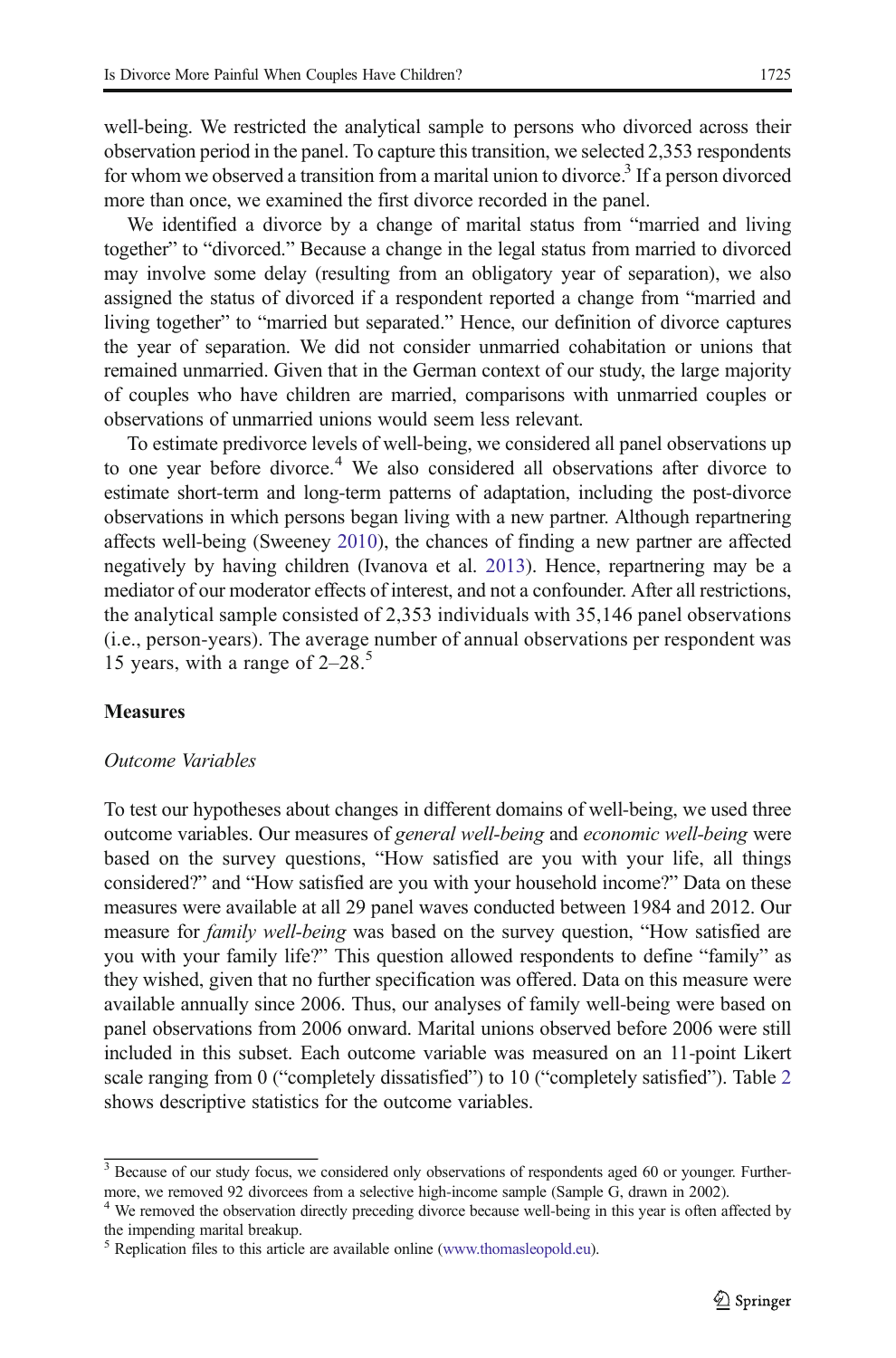well-being. We restricted the analytical sample to persons who divorced across their observation period in the panel. To capture this transition, we selected 2,353 respondents for whom we observed a transition from a marital union to divorce.<sup>3</sup> If a person divorced more than once, we examined the first divorce recorded in the panel.

We identified a divorce by a change of marital status from "married and living together" to "divorced." Because a change in the legal status from married to divorced may involve some delay (resulting from an obligatory year of separation), we also assigned the status of divorced if a respondent reported a change from "married and living together" to "married but separated." Hence, our definition of divorce captures the year of separation. We did not consider unmarried cohabitation or unions that remained unmarried. Given that in the German context of our study, the large majority of couples who have children are married, comparisons with unmarried couples or observations of unmarried unions would seem less relevant.

To estimate predivorce levels of well-being, we considered all panel observations up to one year before divorce.<sup>4</sup> We also considered all observations after divorce to estimate short-term and long-term patterns of adaptation, including the post-divorce observations in which persons began living with a new partner. Although repartnering affects well-being (Sweeney [2010](#page-24-0)), the chances of finding a new partner are affected negatively by having children (Ivanova et al. [2013\)](#page-24-0). Hence, repartnering may be a mediator of our moderator effects of interest, and not a confounder. After all restrictions, the analytical sample consisted of 2,353 individuals with 35,146 panel observations (i.e., person-years). The average number of annual observations per respondent was 15 years, with a range of  $2-28$ <sup>5</sup>

#### **Measures**

#### Outcome Variables

To test our hypotheses about changes in different domains of well-being, we used three outcome variables. Our measures of general well-being and economic well-being were based on the survey questions, "How satisfied are you with your life, all things considered?" and "How satisfied are you with your household income?" Data on these measures were available at all 29 panel waves conducted between 1984 and 2012. Our measure for *family well-being* was based on the survey question, "How satisfied are you with your family life?" This question allowed respondents to define "family" as they wished, given that no further specification was offered. Data on this measure were available annually since 2006. Thus, our analyses of family well-being were based on panel observations from 2006 onward. Marital unions observed before 2006 were still included in this subset. Each outcome variable was measured on an 11-point Likert scale ranging from 0 ("completely dissatisfied") to 10 ("completely satisfied"). Table [2](#page-9-0) shows descriptive statistics for the outcome variables.

<sup>&</sup>lt;sup>3</sup> Because of our study focus, we considered only observations of respondents aged 60 or younger. Furthermore, we removed 92 divorcees from a selective high-income sample (Sample G, drawn in 2002).

<sup>&</sup>lt;sup>4</sup> We removed the observation directly preceding divorce because well-being in this year is often affected by the impending marital breakup.

<sup>&</sup>lt;sup>5</sup> Replication files to this article are available online [\(www.thomasleopold.eu\)](http://www.thomasleopold.eu).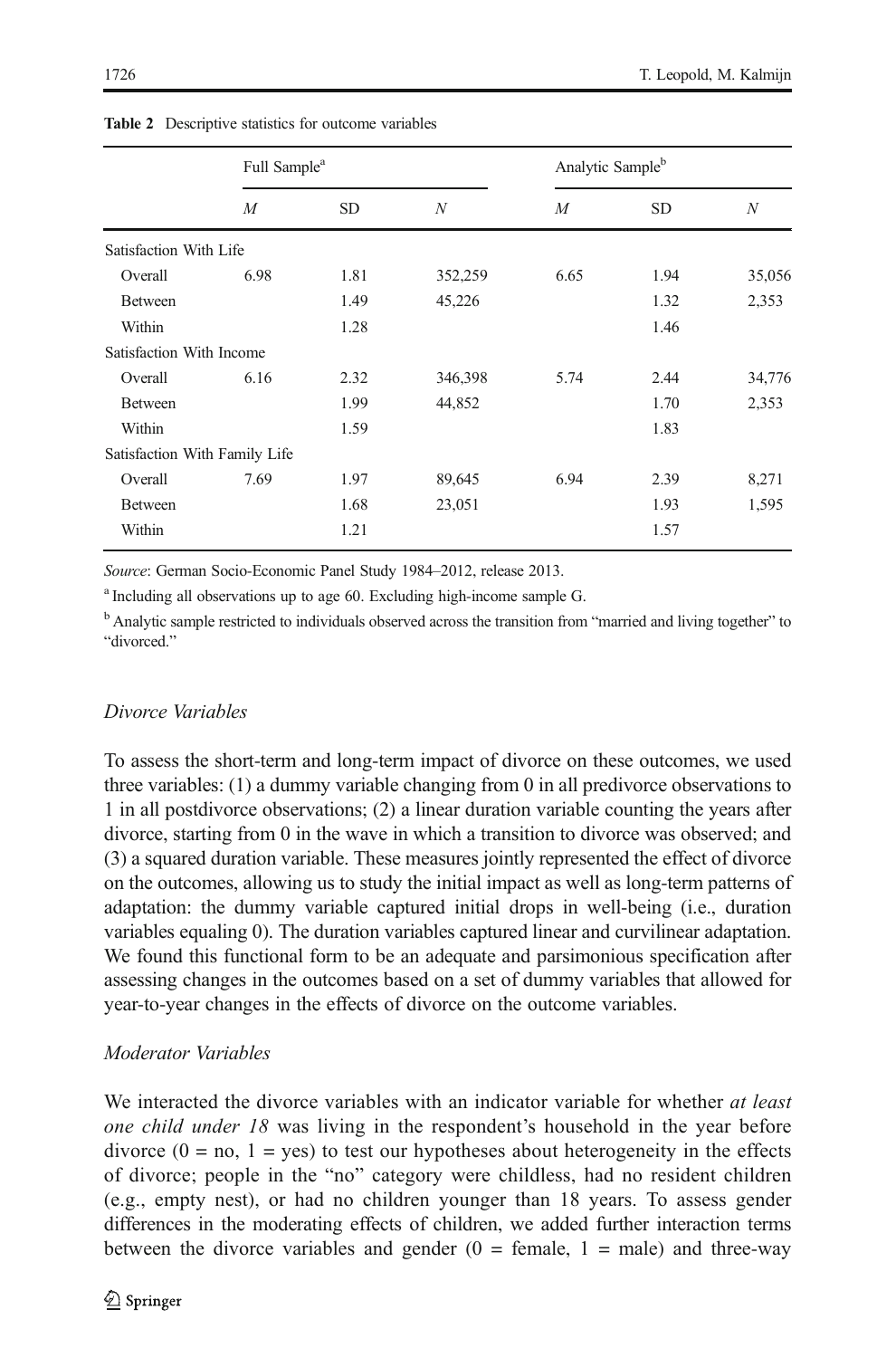|                               | Full Sample <sup>a</sup> |           |         | Analytic Sample <sup>b</sup> |      |        |  |  |
|-------------------------------|--------------------------|-----------|---------|------------------------------|------|--------|--|--|
|                               | $\boldsymbol{M}$         | <b>SD</b> | N       | $\boldsymbol{M}$             | SD.  | N      |  |  |
| Satisfaction With Life        |                          |           |         |                              |      |        |  |  |
| Overall                       | 6.98                     | 1.81      | 352,259 | 6.65                         | 1.94 | 35,056 |  |  |
| Between                       |                          | 1.49      | 45,226  |                              | 1.32 | 2,353  |  |  |
| Within                        |                          | 1.28      |         |                              | 1.46 |        |  |  |
| Satisfaction With Income      |                          |           |         |                              |      |        |  |  |
| Overall                       | 6.16                     | 2.32      | 346,398 | 5.74                         | 2.44 | 34,776 |  |  |
| Between                       |                          | 1.99      | 44,852  |                              | 1.70 | 2,353  |  |  |
| Within                        |                          | 1.59      |         |                              | 1.83 |        |  |  |
| Satisfaction With Family Life |                          |           |         |                              |      |        |  |  |
| Overall                       | 7.69                     | 1.97      | 89,645  | 6.94                         | 2.39 | 8,271  |  |  |
| Between                       |                          | 1.68      | 23,051  |                              | 1.93 | 1,595  |  |  |
| Within                        |                          | 1.21      |         |                              | 1.57 |        |  |  |

<span id="page-9-0"></span>Table 2 Descriptive statistics for outcome variables

Source: German Socio-Economic Panel Study 1984–2012, release 2013.

<sup>a</sup> Including all observations up to age 60. Excluding high-income sample G.

<sup>b</sup> Analytic sample restricted to individuals observed across the transition from "married and living together" to "divorced."

# Divorce Variables

To assess the short-term and long-term impact of divorce on these outcomes, we used three variables: (1) a dummy variable changing from 0 in all predivorce observations to 1 in all postdivorce observations; (2) a linear duration variable counting the years after divorce, starting from 0 in the wave in which a transition to divorce was observed; and (3) a squared duration variable. These measures jointly represented the effect of divorce on the outcomes, allowing us to study the initial impact as well as long-term patterns of adaptation: the dummy variable captured initial drops in well-being (i.e., duration variables equaling 0). The duration variables captured linear and curvilinear adaptation. We found this functional form to be an adequate and parsimonious specification after assessing changes in the outcomes based on a set of dummy variables that allowed for year-to-year changes in the effects of divorce on the outcome variables.

# Moderator Variables

We interacted the divorce variables with an indicator variable for whether *at least* one child under 18 was living in the respondent's household in the year before divorce  $(0 = no, 1 = yes)$  to test our hypotheses about heterogeneity in the effects of divorce; people in the "no" category were childless, had no resident children (e.g., empty nest), or had no children younger than 18 years. To assess gender differences in the moderating effects of children, we added further interaction terms between the divorce variables and gender  $(0 = \text{female}, 1 = \text{male})$  and three-way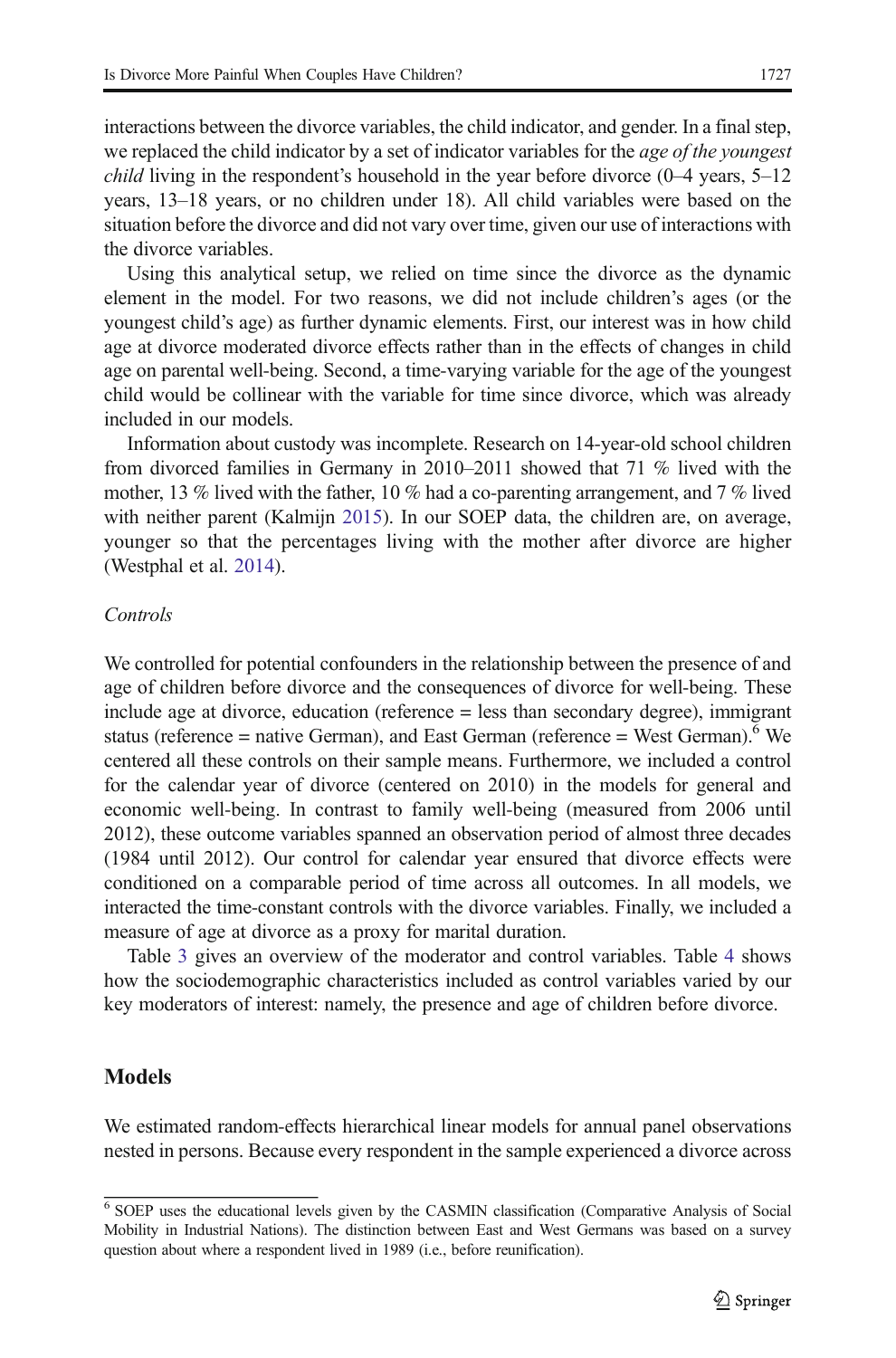interactions between the divorce variables, the child indicator, and gender. In a final step, we replaced the child indicator by a set of indicator variables for the *age of the youngest child* living in the respondent's household in the year before divorce  $(0-4$  years,  $5-12$ years, 13–18 years, or no children under 18). All child variables were based on the situation before the divorce and did not vary over time, given our use of interactions with the divorce variables.

Using this analytical setup, we relied on time since the divorce as the dynamic element in the model. For two reasons, we did not include children's ages (or the youngest child's age) as further dynamic elements. First, our interest was in how child age at divorce moderated divorce effects rather than in the effects of changes in child age on parental well-being. Second, a time-varying variable for the age of the youngest child would be collinear with the variable for time since divorce, which was already included in our models.

Information about custody was incomplete. Research on 14-year-old school children from divorced families in Germany in 2010–2011 showed that 71 % lived with the mother, 13 % lived with the father, 10 % had a co-parenting arrangement, and 7 % lived with neither parent (Kalmijn [2015\)](#page-24-0). In our SOEP data, the children are, on average, younger so that the percentages living with the mother after divorce are higher (Westphal et al. [2014\)](#page-25-0).

#### Controls

We controlled for potential confounders in the relationship between the presence of and age of children before divorce and the consequences of divorce for well-being. These include age at divorce, education (reference = less than secondary degree), immigrant status (reference  $=$  native German), and East German (reference  $=$  West German).<sup>6</sup> We centered all these controls on their sample means. Furthermore, we included a control for the calendar year of divorce (centered on 2010) in the models for general and economic well-being. In contrast to family well-being (measured from 2006 until 2012), these outcome variables spanned an observation period of almost three decades (1984 until 2012). Our control for calendar year ensured that divorce effects were conditioned on a comparable period of time across all outcomes. In all models, we interacted the time-constant controls with the divorce variables. Finally, we included a measure of age at divorce as a proxy for marital duration.

Table [3](#page-11-0) gives an overview of the moderator and control variables. Table [4](#page-12-0) shows how the sociodemographic characteristics included as control variables varied by our key moderators of interest: namely, the presence and age of children before divorce.

# Models

We estimated random-effects hierarchical linear models for annual panel observations nested in persons. Because every respondent in the sample experienced a divorce across

<sup>6</sup> SOEP uses the educational levels given by the CASMIN classification (Comparative Analysis of Social Mobility in Industrial Nations). The distinction between East and West Germans was based on a survey question about where a respondent lived in 1989 (i.e., before reunification).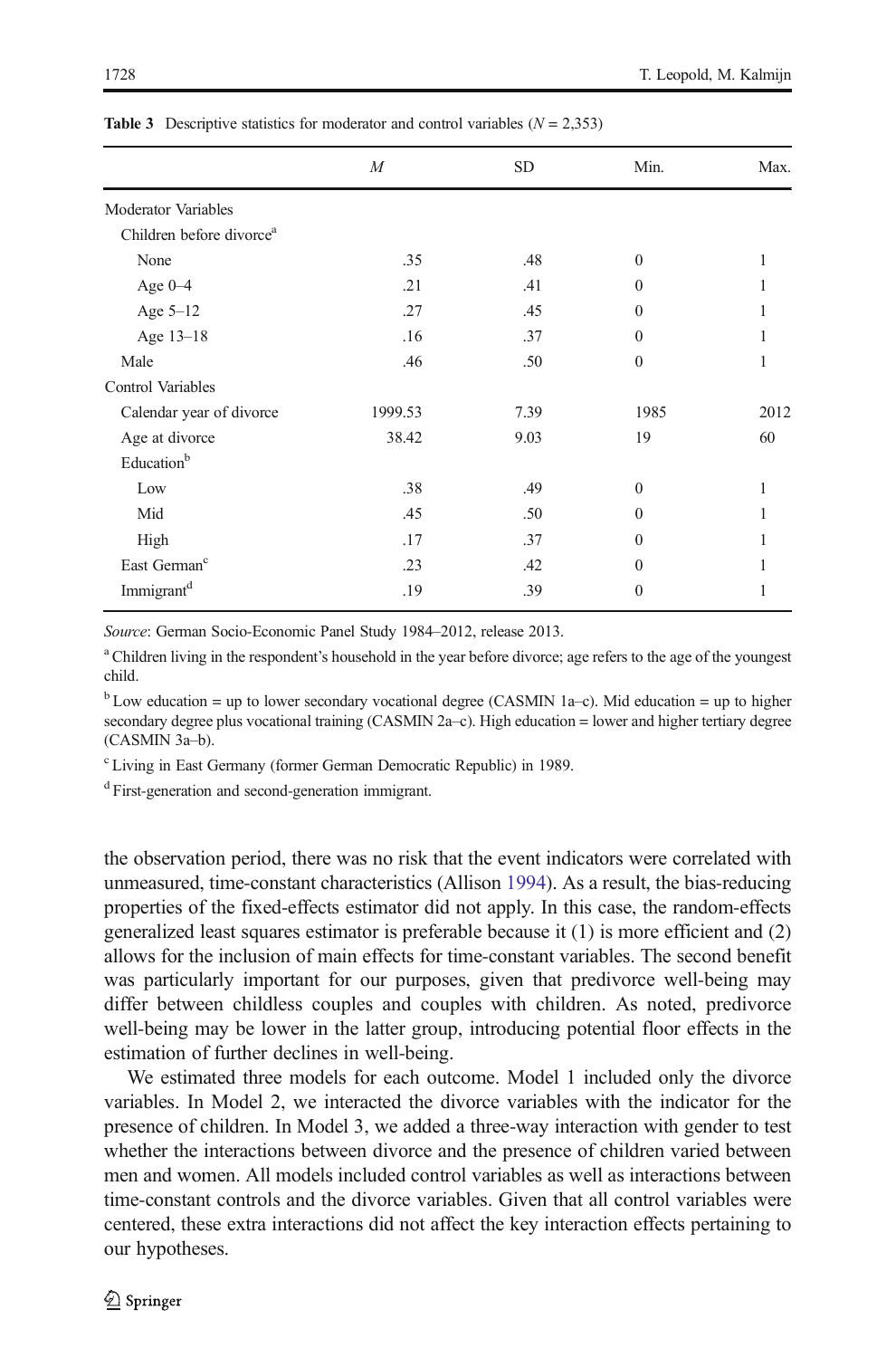|                                      | $\boldsymbol{M}$ | <b>SD</b> | Min.         | Max. |
|--------------------------------------|------------------|-----------|--------------|------|
| Moderator Variables                  |                  |           |              |      |
| Children before divorce <sup>a</sup> |                  |           |              |      |
| None                                 | .35              | .48       | $\theta$     |      |
| Age $0-4$                            | .21              | .41       | $\Omega$     |      |
| Age $5-12$                           | .27              | .45       | $\Omega$     |      |
| Age 13-18                            | .16              | .37       | $\Omega$     |      |
| Male                                 | .46              | .50       | $\mathbf{0}$ | 1    |
| Control Variables                    |                  |           |              |      |
| Calendar year of divorce             | 1999.53          | 7.39      | 1985         | 2012 |
| Age at divorce                       | 38.42            | 9.03      | 19           | 60   |
| Education <sup>b</sup>               |                  |           |              |      |
| Low                                  | .38              | .49       | $\mathbf{0}$ | 1    |
| Mid                                  | .45              | .50       | $\theta$     |      |
| High                                 | .17              | .37       | $\theta$     |      |
| East German <sup>c</sup>             | .23              | .42       | $\mathbf{0}$ |      |
| Immigrant <sup>d</sup>               | .19              | .39       | $\mathbf{0}$ | 1    |

<span id="page-11-0"></span>**Table 3** Descriptive statistics for moderator and control variables  $(N = 2,353)$ 

Source: German Socio-Economic Panel Study 1984–2012, release 2013.

<sup>a</sup> Children living in the respondent's household in the year before divorce; age refers to the age of the youngest child.

 $b$  Low education = up to lower secondary vocational degree (CASMIN 1a–c). Mid education = up to higher secondary degree plus vocational training (CASMIN 2a–c). High education = lower and higher tertiary degree (CASMIN 3a–b).

<sup>c</sup> Living in East Germany (former German Democratic Republic) in 1989.

<sup>d</sup> First-generation and second-generation immigrant.

the observation period, there was no risk that the event indicators were correlated with unmeasured, time-constant characteristics (Allison [1994\)](#page-23-0). As a result, the bias-reducing properties of the fixed-effects estimator did not apply. In this case, the random-effects generalized least squares estimator is preferable because it (1) is more efficient and (2) allows for the inclusion of main effects for time-constant variables. The second benefit was particularly important for our purposes, given that predivorce well-being may differ between childless couples and couples with children. As noted, predivorce well-being may be lower in the latter group, introducing potential floor effects in the estimation of further declines in well-being.

We estimated three models for each outcome. Model 1 included only the divorce variables. In Model 2, we interacted the divorce variables with the indicator for the presence of children. In Model 3, we added a three-way interaction with gender to test whether the interactions between divorce and the presence of children varied between men and women. All models included control variables as well as interactions between time-constant controls and the divorce variables. Given that all control variables were centered, these extra interactions did not affect the key interaction effects pertaining to our hypotheses.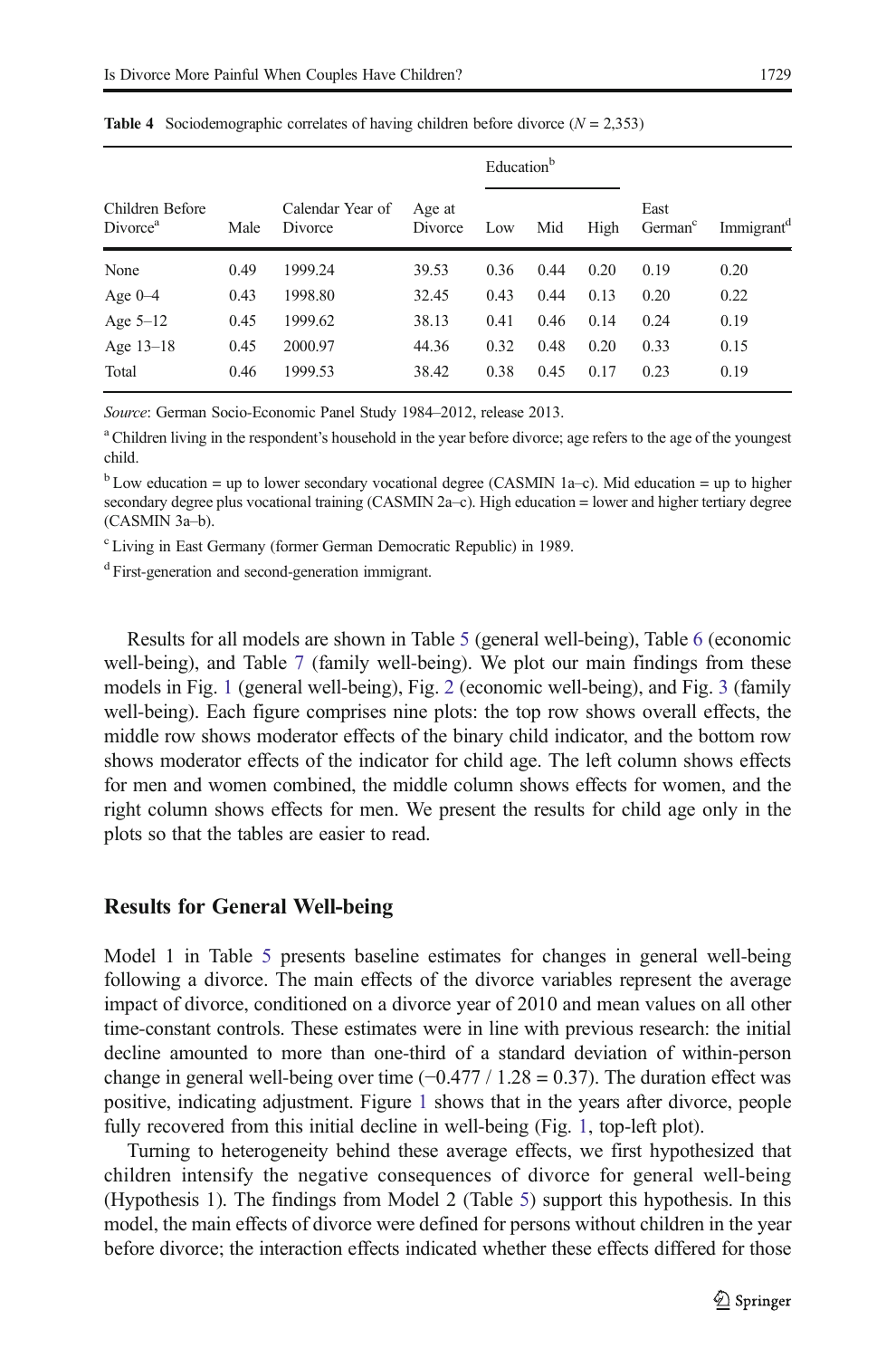|                                         |      |                             |                   | Education <sup>b</sup> |      |      |                             |                        |
|-----------------------------------------|------|-----------------------------|-------------------|------------------------|------|------|-----------------------------|------------------------|
| Children Before<br>Divorce <sup>a</sup> | Male | Calendar Year of<br>Divorce | Age at<br>Divorce | Low                    | Mid  | High | East<br>German <sup>c</sup> | Immigrant <sup>d</sup> |
| None                                    | 0.49 | 1999.24                     | 39.53             | 0.36                   | 0.44 | 0.20 | 0.19                        | 0.20                   |
| Age $0-4$                               | 0.43 | 1998.80                     | 32.45             | 0.43                   | 0.44 | 0.13 | 0.20                        | 0.22                   |
| Age $5-12$                              | 0.45 | 1999.62                     | 38.13             | 0.41                   | 0.46 | 0.14 | 0.24                        | 0.19                   |
| Age $13-18$                             | 0.45 | 2000.97                     | 44.36             | 0.32                   | 0.48 | 0.20 | 0.33                        | 0.15                   |
| Total                                   | 0.46 | 1999.53                     | 38.42             | 0.38                   | 0.45 | 0.17 | 0.23                        | 0.19                   |

<span id="page-12-0"></span>**Table 4** Sociodemographic correlates of having children before divorce  $(N = 2,353)$ 

Source: German Socio-Economic Panel Study 1984–2012, release 2013.

<sup>a</sup> Children living in the respondent's household in the year before divorce; age refers to the age of the youngest child.

 $b$  Low education = up to lower secondary vocational degree (CASMIN 1a–c). Mid education = up to higher secondary degree plus vocational training (CASMIN 2a–c). High education = lower and higher tertiary degree (CASMIN 3a–b).

<sup>c</sup> Living in East Germany (former German Democratic Republic) in 1989.

<sup>d</sup> First-generation and second-generation immigrant.

Results for all models are shown in Table [5](#page-13-0) (general well-being), Table [6](#page-15-0) (economic well-being), and Table [7](#page-17-0) (family well-being). We plot our main findings from these models in Fig. [1](#page-19-0) (general well-being), Fig. [2](#page-20-0) (economic well-being), and Fig. [3](#page-21-0) (family well-being). Each figure comprises nine plots: the top row shows overall effects, the middle row shows moderator effects of the binary child indicator, and the bottom row shows moderator effects of the indicator for child age. The left column shows effects for men and women combined, the middle column shows effects for women, and the right column shows effects for men. We present the results for child age only in the plots so that the tables are easier to read.

# Results for General Well-being

Model 1 in Table [5](#page-13-0) presents baseline estimates for changes in general well-being following a divorce. The main effects of the divorce variables represent the average impact of divorce, conditioned on a divorce year of 2010 and mean values on all other time-constant controls. These estimates were in line with previous research: the initial decline amounted to more than one-third of a standard deviation of within-person change in general well-being over time  $(-0.477 / 1.28 = 0.37)$ . The duration effect was positive, indicating adjustment. Figure [1](#page-19-0) shows that in the years after divorce, people fully recovered from this initial decline in well-being (Fig. [1,](#page-19-0) top-left plot).

Turning to heterogeneity behind these average effects, we first hypothesized that children intensify the negative consequences of divorce for general well-being (Hypothesis 1). The findings from Model 2 (Table [5\)](#page-13-0) support this hypothesis. In this model, the main effects of divorce were defined for persons without children in the year before divorce; the interaction effects indicated whether these effects differed for those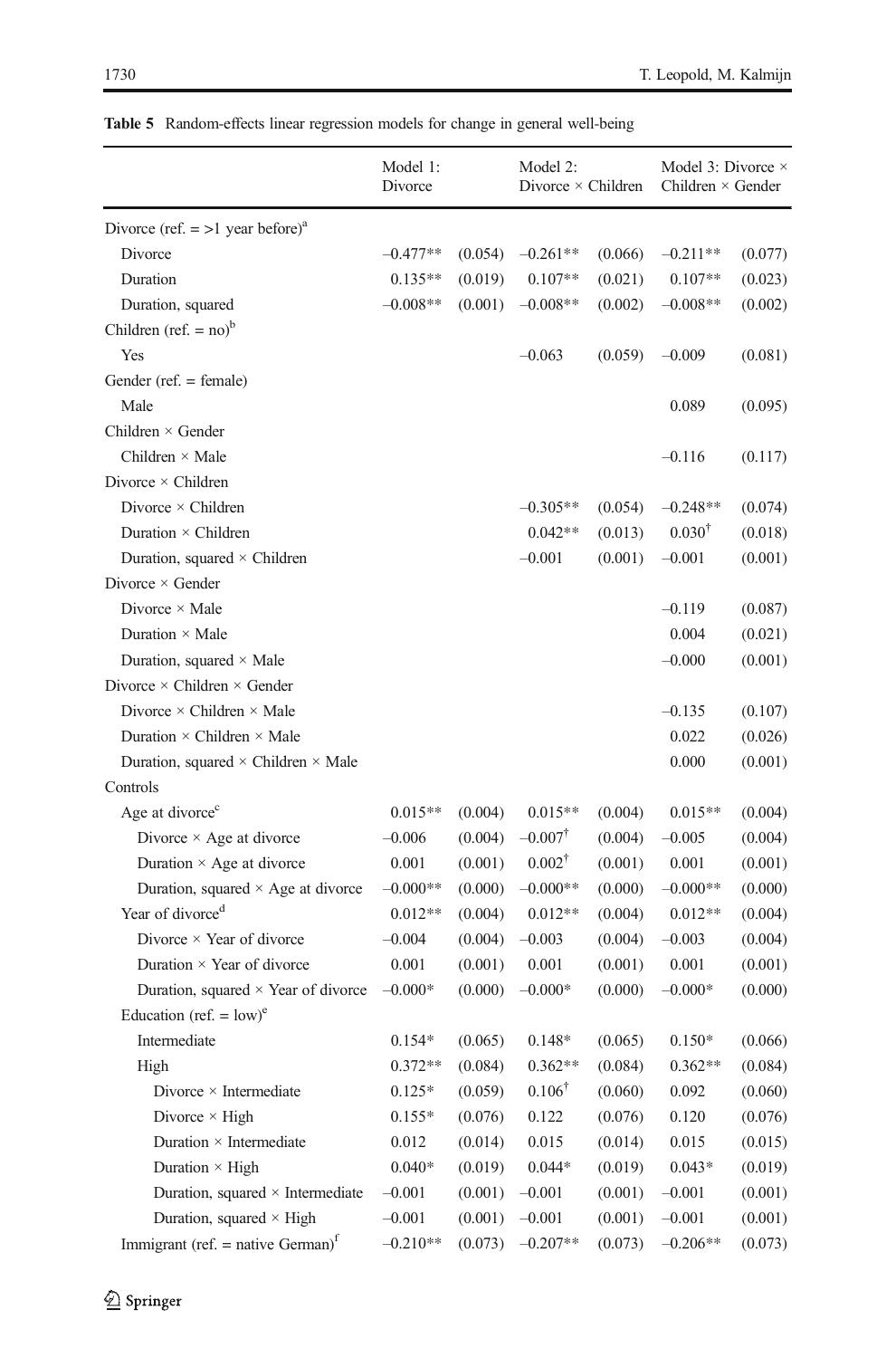<span id="page-13-0"></span>

| 1730 |                                                                                         | T. Leopold, M. Kalmijn     |
|------|-----------------------------------------------------------------------------------------|----------------------------|
|      | <b>Table 5</b> Random-effects linear regression models for change in general well-being |                            |
|      | Model $2^{\circ}$<br>Model 1.                                                           | Model $3$ Divorce $\times$ |

|                                                            | Model 1:<br>Divorce |         | Model 2:<br>Divorce $\times$ Children |         | Model 3: Divorce $\times$<br>Children $\times$ Gender |         |
|------------------------------------------------------------|---------------------|---------|---------------------------------------|---------|-------------------------------------------------------|---------|
| Divorce (ref. $=$ >1 year before) <sup>a</sup>             |                     |         |                                       |         |                                                       |         |
| Divorce                                                    | $-0.477**$          | (0.054) | $-0.261**$                            | (0.066) | $-0.211**$                                            | (0.077) |
| Duration                                                   | $0.135**$           | (0.019) | $0.107**$                             | (0.021) | $0.107**$                                             | (0.023) |
| Duration, squared                                          | $-0.008**$          | (0.001) | $-0.008**$                            | (0.002) | $-0.008**$                                            | (0.002) |
| Children (ref. $= no$ ) <sup>b</sup>                       |                     |         |                                       |         |                                                       |         |
| Yes                                                        |                     |         | $-0.063$                              | (0.059) | $-0.009$                                              | (0.081) |
| Gender (ref. $=$ female)                                   |                     |         |                                       |         |                                                       |         |
| Male                                                       |                     |         |                                       |         | 0.089                                                 | (0.095) |
| Children $\times$ Gender                                   |                     |         |                                       |         |                                                       |         |
| Children $\times$ Male                                     |                     |         |                                       |         | $-0.116$                                              | (0.117) |
| Divorce $\times$ Children                                  |                     |         |                                       |         |                                                       |         |
| Divorce $\times$ Children                                  |                     |         | $-0.305**$                            | (0.054) | $-0.248**$                                            | (0.074) |
| Duration $\times$ Children                                 |                     |         | $0.042**$                             | (0.013) | $0.030^{\dagger}$                                     | (0.018) |
| Duration, squared $\times$ Children                        |                     |         | $-0.001$                              | (0.001) | $-0.001$                                              | (0.001) |
| Divorce $\times$ Gender                                    |                     |         |                                       |         |                                                       |         |
| Divorce $\times$ Male                                      |                     |         |                                       |         | $-0.119$                                              | (0.087) |
| Duration $\times$ Male                                     |                     |         |                                       |         | 0.004                                                 | (0.021) |
| Duration, squared $\times$ Male                            |                     |         |                                       |         | $-0.000$                                              | (0.001) |
| Divorce $\times$ Children $\times$ Gender                  |                     |         |                                       |         |                                                       |         |
| Divorce $\times$ Children $\times$ Male                    |                     |         |                                       |         | $-0.135$                                              | (0.107) |
| Duration $\times$ Children $\times$ Male                   |                     |         |                                       |         | 0.022                                                 | (0.026) |
| Duration, squared $\times$ Children $\times$ Male          |                     |         |                                       |         | 0.000                                                 | (0.001) |
| Controls                                                   |                     |         |                                       |         |                                                       |         |
| Age at divorce <sup>c</sup>                                | $0.015**$           | (0.004) | $0.015**$                             | (0.004) | $0.015**$                                             | (0.004) |
| Divorce $\times$ Age at divorce                            | $-0.006$            | (0.004) | $-0.007$ <sup>†</sup>                 | (0.004) | $-0.005$                                              | (0.004) |
| Duration × Age at divorce                                  | 0.001               | (0.001) | $0.002^{\dagger}$                     | (0.001) | 0.001                                                 | (0.001) |
| Duration, squared $\times$ Age at divorce                  | $-0.000**$          | (0.000) | $-0.000**$                            | (0.000) | $-0.000**$                                            | (0.000) |
| Year of divorce <sup>d</sup>                               | $0.012**$           | (0.004) | $0.012**$                             | (0.004) | $0.012**$                                             | (0.004) |
| Divorce $\times$ Year of divorce                           | $-0.004$            | (0.004) | $-0.003$                              | (0.004) | $-0.003$                                              | (0.004) |
| Duration $\times$ Year of divorce                          | 0.001               | (0.001) | 0.001                                 | (0.001) | 0.001                                                 | (0.001) |
| Duration, squared $\times$ Year of divorce                 | $-0.000*$           | (0.000) | $-0.000*$                             | (0.000) | $-0.000*$                                             | (0.000) |
| Education (ref. = $low$ ) <sup>e</sup>                     |                     |         |                                       |         |                                                       |         |
| Intermediate                                               | $0.154*$            | (0.065) | $0.148*$                              | (0.065) | $0.150*$                                              | (0.066) |
| High                                                       | $0.372**$           | (0.084) | $0.362**$                             | (0.084) | $0.362**$                                             | (0.084) |
| Divorce $\times$ Intermediate                              | $0.125*$            | (0.059) | $0.106^{\dagger}$                     | (0.060) | 0.092                                                 | (0.060) |
| Divorce $\times$ High                                      | $0.155*$            | (0.076) | 0.122                                 | (0.076) | 0.120                                                 | (0.076) |
| Duration × Intermediate                                    | 0.012               | (0.014) | 0.015                                 | (0.014) | 0.015                                                 | (0.015) |
| Duration × High                                            | $0.040*$            | (0.019) | $0.044*$                              | (0.019) | $0.043*$                                              | (0.019) |
| Duration, squared × Intermediate                           | $-0.001$            | (0.001) | $-0.001$                              | (0.001) | $-0.001$                                              | (0.001) |
| Duration, squared $\times$ High                            | $-0.001$            | (0.001) | $-0.001$                              | (0.001) | $-0.001$                                              | (0.001) |
| Immigrant (ref. = native German) <sup><math>f</math></sup> | $-0.210**$          | (0.073) | $-0.207**$                            | (0.073) | $-0.206**$                                            | (0.073) |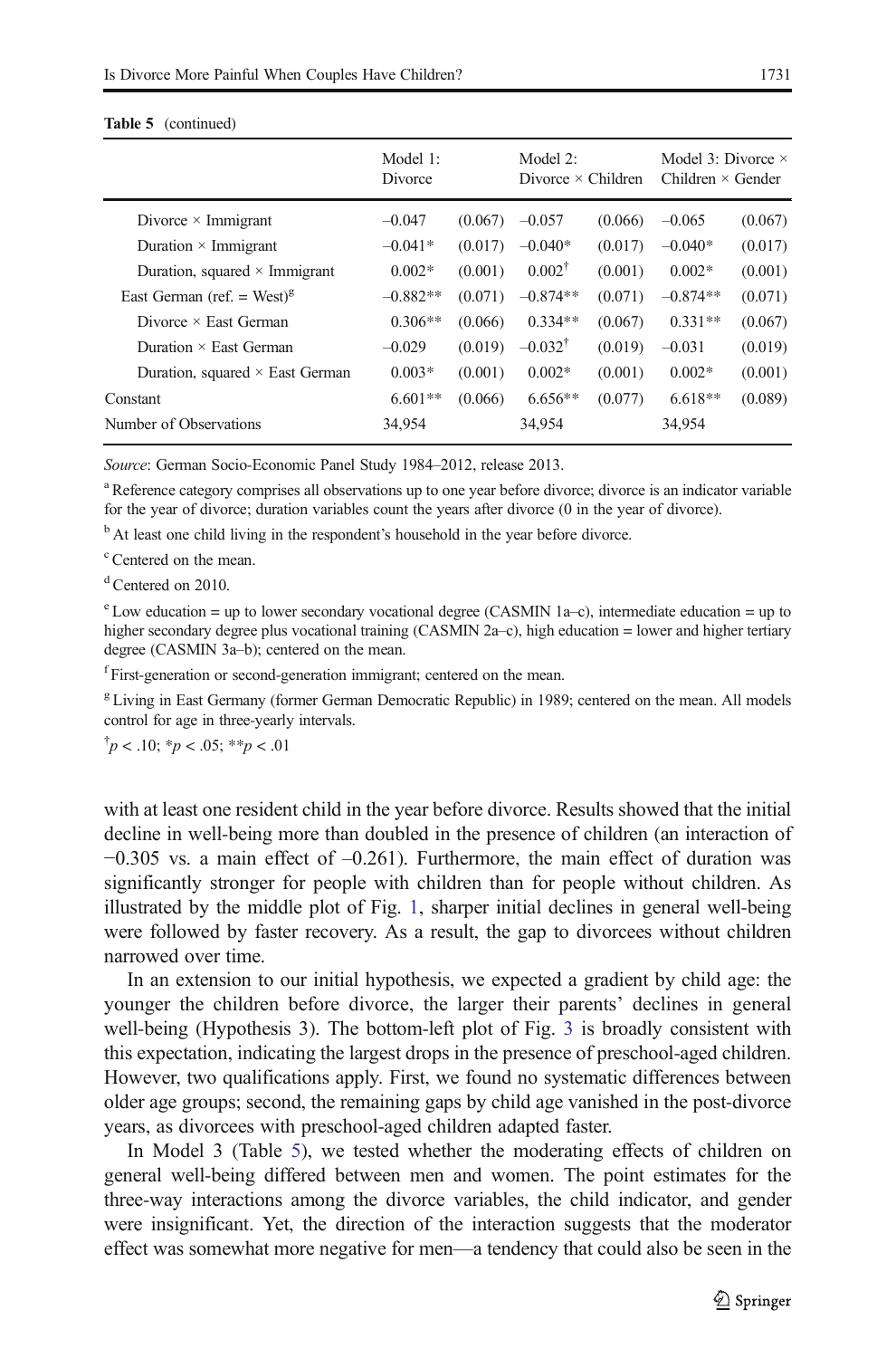#### Table 5 (continued)

|                                        | Model 1:<br>Divorce |         | Model $2:$<br>Divorce $\times$ Children |         | Model 3: Divorce $\times$<br>Children $\times$ Gender |         |
|----------------------------------------|---------------------|---------|-----------------------------------------|---------|-------------------------------------------------------|---------|
| Divorce $\times$ Immigrant             | $-0.047$            | (0.067) | $-0.057$                                | (0.066) | $-0.065$                                              | (0.067) |
| Duration $\times$ Immigrant            | $-0.041*$           | (0.017) | $-0.040*$                               | (0.017) | $-0.040*$                                             | (0.017) |
| Duration, squared $\times$ Immigrant   | $0.002*$            | (0.001) | $0.002^{\dagger}$                       | (0.001) | $0.002*$                                              | (0.001) |
| East German (ref. = $West)^g$          | $-0.882**$          | (0.071) | $-0.874**$                              | (0.071) | $-0.874**$                                            | (0.071) |
| Divorce $\times$ East German           | $0.306**$           | (0.066) | $0.334**$                               | (0.067) | $0.331**$                                             | (0.067) |
| Duration $\times$ East German          | $-0.029$            | (0.019) | $-0.032^{\dagger}$                      | (0.019) | $-0.031$                                              | (0.019) |
| Duration, squared $\times$ East German | $0.003*$            | (0.001) | $0.002*$                                | (0.001) | $0.002*$                                              | (0.001) |
| Constant                               | $6.601**$           | (0.066) | $6.656**$                               | (0.077) | $6.618**$                                             | (0.089) |
| Number of Observations                 | 34.954              |         | 34.954                                  |         | 34,954                                                |         |

Source: German Socio-Economic Panel Study 1984–2012, release 2013.

<sup>a</sup> Reference category comprises all observations up to one year before divorce; divorce is an indicator variable for the year of divorce; duration variables count the years after divorce (0 in the year of divorce).

<sup>b</sup> At least one child living in the respondent's household in the year before divorce.

<sup>c</sup> Centered on the mean.

 $d$  Centered on 2010.

 $e^{\epsilon}$  Low education = up to lower secondary vocational degree (CASMIN 1a–c), intermediate education = up to higher secondary degree plus vocational training (CASMIN 2a–c), high education = lower and higher tertiary degree (CASMIN 3a–b); centered on the mean.

f First-generation or second-generation immigrant; centered on the mean.

<sup>g</sup> Living in East Germany (former German Democratic Republic) in 1989; centered on the mean. All models control for age in three-yearly intervals.

 $\phi$  < .10; \* $p$  < .05; \*\* $p$  < .01

with at least one resident child in the year before divorce. Results showed that the initial decline in well-being more than doubled in the presence of children (an interaction of −0.305 vs. a main effect of –0.261). Furthermore, the main effect of duration was significantly stronger for people with children than for people without children. As illustrated by the middle plot of Fig. [1,](#page-19-0) sharper initial declines in general well-being were followed by faster recovery. As a result, the gap to divorcees without children narrowed over time.

In an extension to our initial hypothesis, we expected a gradient by child age: the younger the children before divorce, the larger their parents' declines in general well-being (Hypothesis 3). The bottom-left plot of Fig. [3](#page-21-0) is broadly consistent with this expectation, indicating the largest drops in the presence of preschool-aged children. However, two qualifications apply. First, we found no systematic differences between older age groups; second, the remaining gaps by child age vanished in the post-divorce years, as divorcees with preschool-aged children adapted faster.

In Model 3 (Table [5\)](#page-13-0), we tested whether the moderating effects of children on general well-being differed between men and women. The point estimates for the three-way interactions among the divorce variables, the child indicator, and gender were insignificant. Yet, the direction of the interaction suggests that the moderator effect was somewhat more negative for men—a tendency that could also be seen in the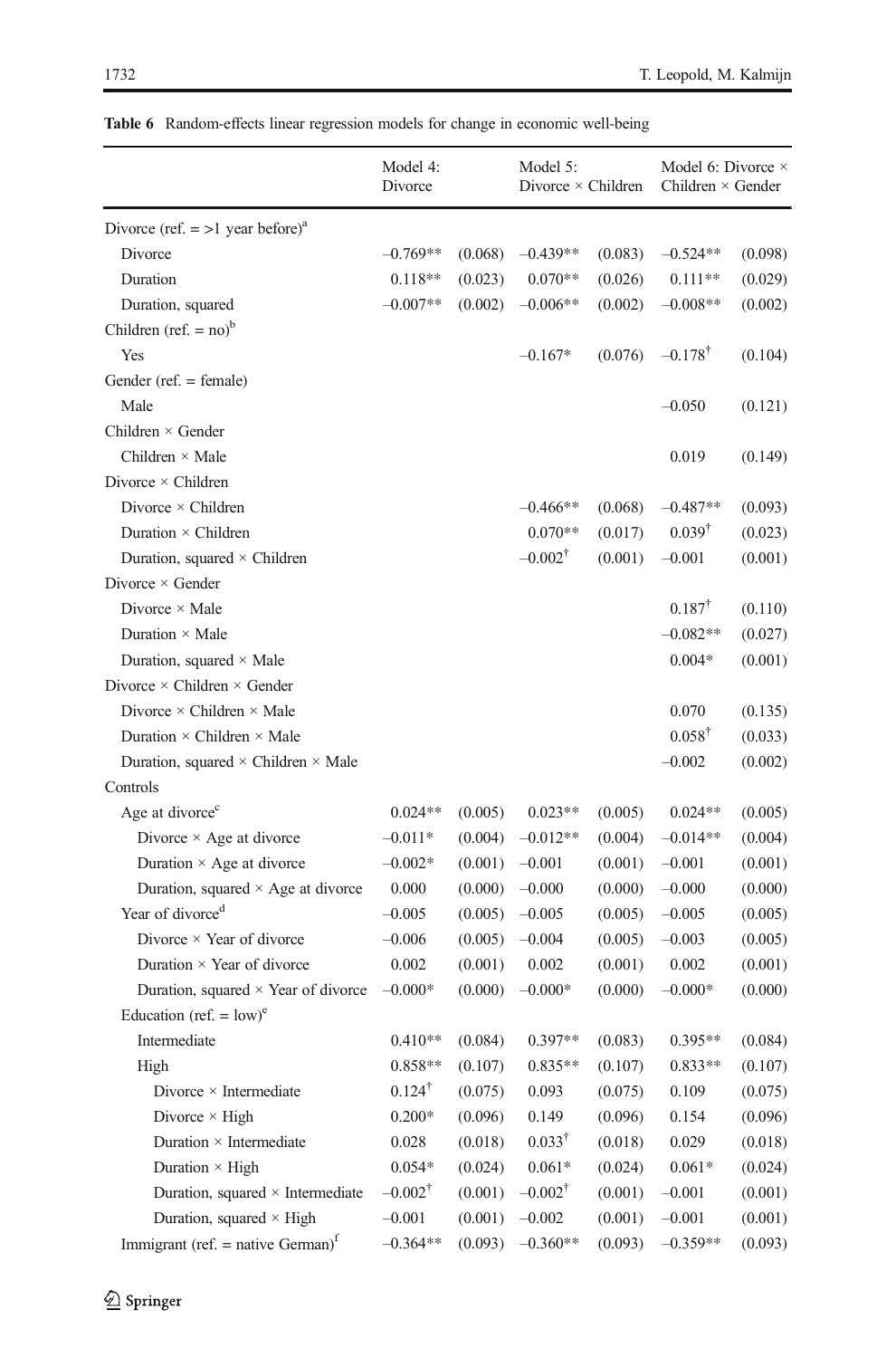|                                                            | Model 4:<br>Divorce |         | Model 5:<br>Divorce $\times$ Children |         | Model 6: Divorce $\times$<br>Children $\times$ Gender |         |
|------------------------------------------------------------|---------------------|---------|---------------------------------------|---------|-------------------------------------------------------|---------|
| Divorce (ref. $=$ >1 year before) <sup>a</sup>             |                     |         |                                       |         |                                                       |         |
| Divorce                                                    | $-0.769**$          | (0.068) | $-0.439**$                            | (0.083) | $-0.524**$                                            | (0.098) |
| Duration                                                   | $0.118**$           | (0.023) | $0.070**$                             | (0.026) | $0.111**$                                             | (0.029) |
| Duration, squared                                          | $-0.007**$          | (0.002) | $-0.006**$                            | (0.002) | $-0.008**$                                            | (0.002) |
| Children (ref. $=$ no) <sup>b</sup>                        |                     |         |                                       |         |                                                       |         |
| Yes                                                        |                     |         | $-0.167*$                             | (0.076) | $-0.178$ <sup>†</sup>                                 | (0.104) |
| Gender (ref. $=$ female)                                   |                     |         |                                       |         |                                                       |         |
| Male                                                       |                     |         |                                       |         | $-0.050$                                              | (0.121) |
| Children $\times$ Gender                                   |                     |         |                                       |         |                                                       |         |
| Children × Male                                            |                     |         |                                       |         | 0.019                                                 | (0.149) |
| Divorce $\times$ Children                                  |                     |         |                                       |         |                                                       |         |
| Divorce $\times$ Children                                  |                     |         | $-0.466**$                            | (0.068) | $-0.487**$                                            | (0.093) |
| Duration $\times$ Children                                 |                     |         | $0.070**$                             | (0.017) | $0.039^{T}$                                           | (0.023) |
| Duration, squared $\times$ Children                        |                     |         | $-0.002^{\dagger}$                    | (0.001) | $-0.001$                                              | (0.001) |
| Divorce $\times$ Gender                                    |                     |         |                                       |         |                                                       |         |
| Divorce $\times$ Male                                      |                     |         |                                       |         | $0.187^{\dagger}$                                     | (0.110) |
| Duration $\times$ Male                                     |                     |         |                                       |         | $-0.082**$                                            | (0.027) |
| Duration, squared $\times$ Male                            |                     |         |                                       |         | $0.004*$                                              | (0.001) |
| Divorce $\times$ Children $\times$ Gender                  |                     |         |                                       |         |                                                       |         |
| Divorce $\times$ Children $\times$ Male                    |                     |         |                                       |         | 0.070                                                 | (0.135) |
| Duration $\times$ Children $\times$ Male                   |                     |         |                                       |         | $0.058^{\dagger}$                                     | (0.033) |
| Duration, squared $\times$ Children $\times$ Male          |                     |         |                                       |         | $-0.002$                                              | (0.002) |
| Controls                                                   |                     |         |                                       |         |                                                       |         |
| Age at divorce <sup>c</sup>                                | $0.024**$           | (0.005) | $0.023**$                             | (0.005) | $0.024**$                                             | (0.005) |
| Divorce $\times$ Age at divorce                            | $-0.011*$           | (0.004) | $-0.012**$                            | (0.004) | $-0.014**$                                            | (0.004) |
| Duration $\times$ Age at divorce                           | $-0.002*$           | (0.001) | $-0.001$                              | (0.001) | $-0.001$                                              | (0.001) |
| Duration, squared $\times$ Age at divorce                  | 0.000               | (0.000) | $-0.000$                              | (0.000) | $-0.000$                                              | (0.000) |
| Year of divorce <sup>d</sup>                               | $-0.005$            | (0.005) | $-0.005$                              | (0.005) | $-0.005$                                              | (0.005) |
| Divorce $\times$ Year of divorce                           | $-0.006$            | (0.005) | $-0.004$                              | (0.005) | $-0.003$                                              | (0.005) |
| Duration × Year of divorce                                 | 0.002               | (0.001) | 0.002                                 | (0.001) | 0.002                                                 | (0.001) |
| Duration, squared $\times$ Year of divorce                 | $-0.000*$           | (0.000) | $-0.000*$                             | (0.000) | $-0.000*$                                             | (0.000) |
| Education (ref. = $low$ ) <sup>e</sup>                     |                     |         |                                       |         |                                                       |         |
| Intermediate                                               | $0.410**$           | (0.084) | 0.397**                               | (0.083) | $0.395**$                                             | (0.084) |
| High                                                       | 0.858**             | (0.107) | $0.835**$                             | (0.107) | $0.833**$                                             | (0.107) |
| Divorce $\times$ Intermediate                              | $0.124^{\dagger}$   | (0.075) | 0.093                                 | (0.075) | 0.109                                                 | (0.075) |
| Divorce $\times$ High                                      | $0.200*$            | (0.096) | 0.149                                 | (0.096) | 0.154                                                 | (0.096) |
| Duration $\times$ Intermediate                             | 0.028               | (0.018) | $0.033^{\dagger}$                     | (0.018) | 0.029                                                 | (0.018) |
| Duration × High                                            | $0.054*$            | (0.024) | $0.061\!ast$                          | (0.024) | $0.061*$                                              | (0.024) |
| Duration, squared × Intermediate                           | $-0.002^{\dagger}$  | (0.001) | $-0.002^{\dagger}$                    | (0.001) | $-0.001$                                              | (0.001) |
| Duration, squared × High                                   | $-0.001$            | (0.001) | $-0.002$                              | (0.001) | $-0.001$                                              | (0.001) |
| Immigrant (ref. = native German) <sup><math>f</math></sup> | $-0.364**$          | (0.093) | $-0.360**$                            | (0.093) | $-0.359**$                                            | (0.093) |

<span id="page-15-0"></span>Table 6 Random-effects linear regression models for change in economic well-being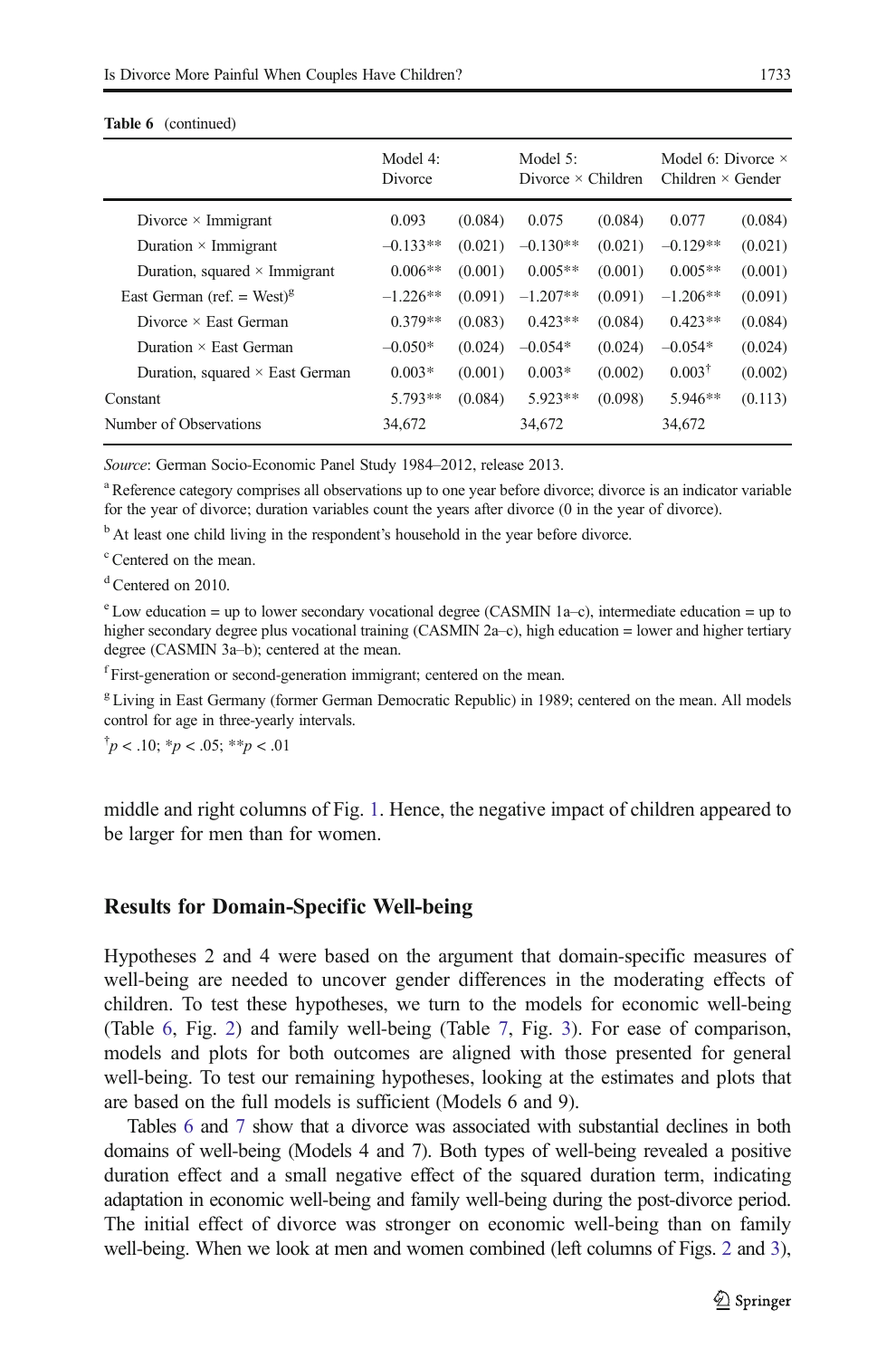#### Table 6 (continued)

|                                        | Model 4:<br>Divorce |         | Model $5$ :<br>Divorce $\times$ Children |         | Model 6: Divorce $\times$<br>Children $\times$ Gender |         |
|----------------------------------------|---------------------|---------|------------------------------------------|---------|-------------------------------------------------------|---------|
| Divorce $\times$ Immigrant             | 0.093               | (0.084) | 0.075                                    | (0.084) | 0.077                                                 | (0.084) |
| Duration $\times$ Immigrant            | $-0.133**$          | (0.021) | $-0.130**$                               | (0.021) | $-0.129**$                                            | (0.021) |
| Duration, squared $\times$ Immigrant   | $0.006**$           | (0.001) | $0.005**$                                | (0.001) | $0.005**$                                             | (0.001) |
| East German (ref. = $West)^g$ )        | $-1.226**$          | (0.091) | $-1.207**$                               | (0.091) | $-1.206**$                                            | (0.091) |
| Divorce $\times$ East German           | $0.379**$           | (0.083) | $0.423**$                                | (0.084) | $0.423**$                                             | (0.084) |
| Duration $\times$ East German          | $-0.050*$           | (0.024) | $-0.054*$                                | (0.024) | $-0.054*$                                             | (0.024) |
| Duration, squared $\times$ East German | $0.003*$            | (0.001) | $0.003*$                                 | (0.002) | $0.003^{\dagger}$                                     | (0.002) |
| Constant                               | $5.793**$           | (0.084) | $5.923**$                                | (0.098) | 5.946**                                               | (0.113) |
| Number of Observations                 | 34,672              |         | 34,672                                   |         | 34,672                                                |         |

Source: German Socio-Economic Panel Study 1984–2012, release 2013.

<sup>a</sup> Reference category comprises all observations up to one year before divorce; divorce is an indicator variable for the year of divorce; duration variables count the years after divorce (0 in the year of divorce).

<sup>b</sup> At least one child living in the respondent's household in the year before divorce.

<sup>c</sup> Centered on the mean.

 $d$  Centered on 2010.

 $e^{\epsilon}$  Low education = up to lower secondary vocational degree (CASMIN 1a–c), intermediate education = up to higher secondary degree plus vocational training (CASMIN 2a–c), high education = lower and higher tertiary degree (CASMIN 3a–b); centered at the mean.

f First-generation or second-generation immigrant; centered on the mean.

<sup>g</sup> Living in East Germany (former German Democratic Republic) in 1989; centered on the mean. All models control for age in three-yearly intervals.

 $\phi_p$  < .10; \* $p$  < .05; \*\* $p$  < .01

middle and right columns of Fig. [1](#page-19-0). Hence, the negative impact of children appeared to be larger for men than for women.

# Results for Domain-Specific Well-being

Hypotheses 2 and 4 were based on the argument that domain-specific measures of well-being are needed to uncover gender differences in the moderating effects of children. To test these hypotheses, we turn to the models for economic well-being (Table [6,](#page-15-0) Fig. [2\)](#page-20-0) and family well-being (Table [7](#page-17-0), Fig. [3](#page-21-0)). For ease of comparison, models and plots for both outcomes are aligned with those presented for general well-being. To test our remaining hypotheses, looking at the estimates and plots that are based on the full models is sufficient (Models 6 and 9).

Tables [6](#page-15-0) and [7](#page-17-0) show that a divorce was associated with substantial declines in both domains of well-being (Models 4 and 7). Both types of well-being revealed a positive duration effect and a small negative effect of the squared duration term, indicating adaptation in economic well-being and family well-being during the post-divorce period. The initial effect of divorce was stronger on economic well-being than on family well-being. When we look at men and women combined (left columns of Figs. [2](#page-20-0) and [3\)](#page-21-0),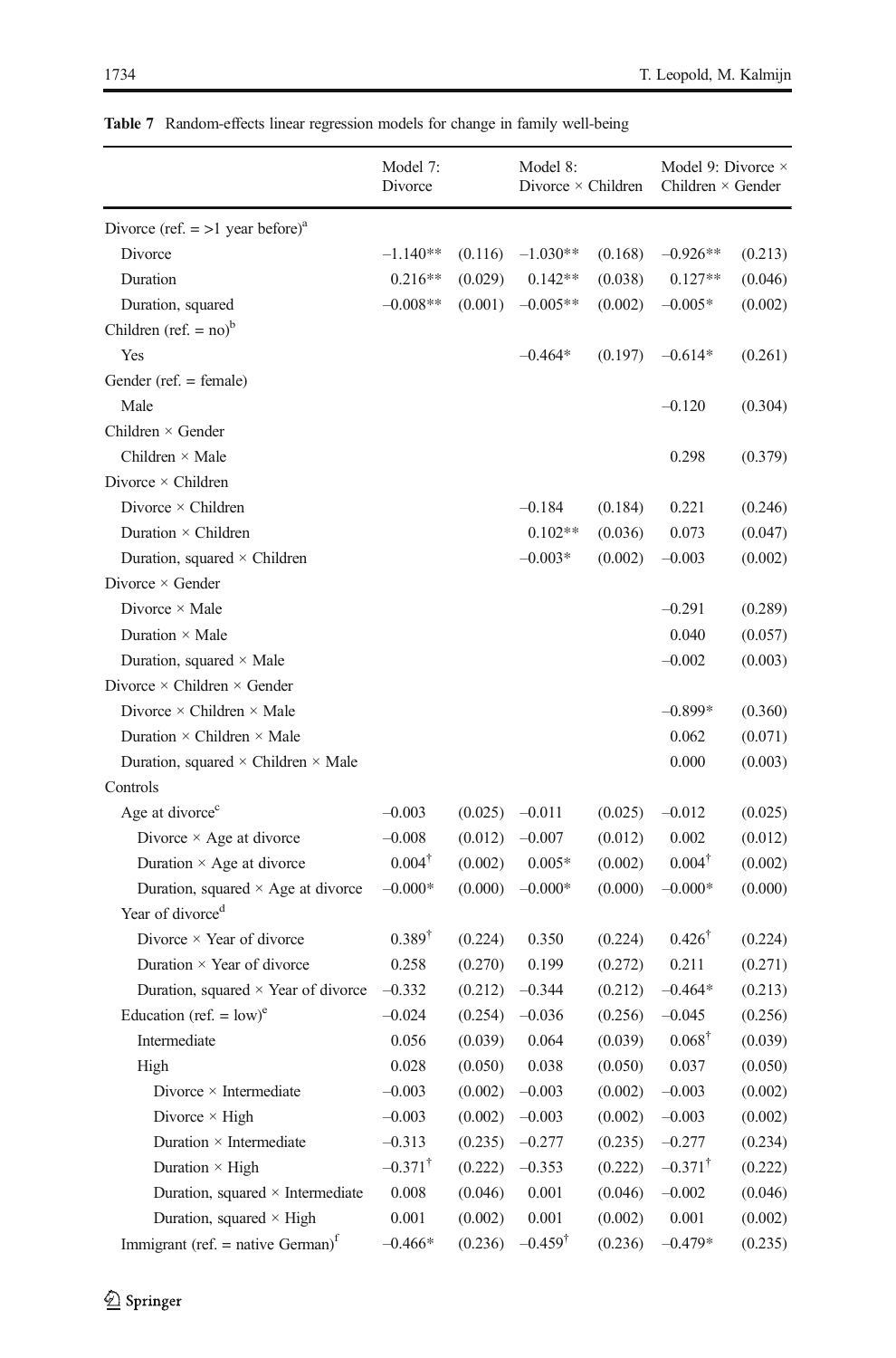|                                                            | Model 7:<br>Divorce |         | Model 8:<br>Divorce $\times$ Children |         | Model 9: Divorce $\times$<br>Children $\times$ Gender |         |
|------------------------------------------------------------|---------------------|---------|---------------------------------------|---------|-------------------------------------------------------|---------|
| Divorce (ref. $=$ >1 year before) <sup>a</sup>             |                     |         |                                       |         |                                                       |         |
| Divorce                                                    | $-1.140**$          | (0.116) | $-1.030**$                            | (0.168) | $-0.926**$                                            | (0.213) |
| Duration                                                   | $0.216**$           | (0.029) | $0.142**$                             | (0.038) | $0.127**$                                             | (0.046) |
| Duration, squared                                          | $-0.008**$          | (0.001) | $-0.005**$                            | (0.002) | $-0.005*$                                             | (0.002) |
| Children (ref. $=$ no) <sup>b</sup>                        |                     |         |                                       |         |                                                       |         |
| Yes                                                        |                     |         | $-0.464*$                             | (0.197) | $-0.614*$                                             | (0.261) |
| Gender (ref. $=$ female)                                   |                     |         |                                       |         |                                                       |         |
| Male                                                       |                     |         |                                       |         | $-0.120$                                              | (0.304) |
| Children $\times$ Gender                                   |                     |         |                                       |         |                                                       |         |
| Children $\times$ Male                                     |                     |         |                                       |         | 0.298                                                 | (0.379) |
| Divorce $\times$ Children                                  |                     |         |                                       |         |                                                       |         |
| Divorce $\times$ Children                                  |                     |         | $-0.184$                              | (0.184) | 0.221                                                 | (0.246) |
| Duration $\times$ Children                                 |                     |         | $0.102**$                             | (0.036) | 0.073                                                 | (0.047) |
| Duration, squared $\times$ Children                        |                     |         | $-0.003*$                             | (0.002) | $-0.003$                                              | (0.002) |
| Divorce $\times$ Gender                                    |                     |         |                                       |         |                                                       |         |
| Divorce $\times$ Male                                      |                     |         |                                       |         | $-0.291$                                              | (0.289) |
| Duration $\times$ Male                                     |                     |         |                                       |         | 0.040                                                 | (0.057) |
| Duration, squared $\times$ Male                            |                     |         |                                       |         | $-0.002$                                              | (0.003) |
| Divorce $\times$ Children $\times$ Gender                  |                     |         |                                       |         |                                                       |         |
| Divorce $\times$ Children $\times$ Male                    |                     |         |                                       |         | $-0.899*$                                             | (0.360) |
| Duration $\times$ Children $\times$ Male                   |                     |         |                                       |         | 0.062                                                 | (0.071) |
| Duration, squared $\times$ Children $\times$ Male          |                     |         |                                       |         | 0.000                                                 | (0.003) |
| Controls                                                   |                     |         |                                       |         |                                                       |         |
| Age at divorce <sup>c</sup>                                | $-0.003$            | (0.025) | $-0.011$                              | (0.025) | $-0.012$                                              | (0.025) |
| Divorce $\times$ Age at divorce                            | $-0.008$            | (0.012) | $-0.007$                              | (0.012) | 0.002                                                 | (0.012) |
| Duration $\times$ Age at divorce                           | $0.004^{\dagger}$   | (0.002) | $0.005*$                              | (0.002) | $0.004^{\dagger}$                                     | (0.002) |
| Duration, squared $\times$ Age at divorce                  | $-0.000*$           | (0.000) | $-0.000*$                             | (0.000) | $-0.000*$                                             | (0.000) |
| Year of divorce <sup>d</sup>                               |                     |         |                                       |         |                                                       |         |
| Divorce $\times$ Year of divorce                           | $0.389^{\dagger}$   | (0.224) | 0.350                                 | (0.224) | $0.426^{\dagger}$                                     | (0.224) |
| Duration × Year of divorce                                 | 0.258               | (0.270) | 0.199                                 | (0.272) | 0.211                                                 | (0.271) |
| Duration, squared $\times$ Year of divorce                 | $-0.332$            | (0.212) | $-0.344$                              | (0.212) | $-0.464*$                                             | (0.213) |
| Education (ref. = $low$ ) <sup>e</sup>                     | $-0.024$            | (0.254) | $-0.036$                              | (0.256) | $-0.045$                                              | (0.256) |
| Intermediate                                               | 0.056               | (0.039) | 0.064                                 | (0.039) | $0.068^{\dagger}$                                     | (0.039) |
| High                                                       | 0.028               | (0.050) | 0.038                                 | (0.050) | 0.037                                                 | (0.050) |
| Divorce $\times$ Intermediate                              | $-0.003$            | (0.002) | $-0.003$                              | (0.002) | $-0.003$                                              | (0.002) |
| Divorce $\times$ High                                      | $-0.003$            | (0.002) | $-0.003$                              | (0.002) | $-0.003$                                              | (0.002) |
| Duration $\times$ Intermediate                             | $-0.313$            | (0.235) | $-0.277$                              | (0.235) | $-0.277$                                              | (0.234) |
| Duration × High                                            | $-0.371^{\dagger}$  | (0.222) | $-0.353$                              | (0.222) | $-0.371^{\dagger}$                                    | (0.222) |
| Duration, squared × Intermediate                           | $0.008\,$           | (0.046) | $0.001\,$                             | (0.046) | $-0.002$                                              | (0.046) |
| Duration, squared × High                                   | 0.001               | (0.002) | $0.001\,$                             | (0.002) | 0.001                                                 | (0.002) |
| Immigrant (ref. = native German) <sup><math>f</math></sup> | $-0.466*$           | (0.236) | $-0.459^{\dagger}$                    | (0.236) | $-0.479*$                                             | (0.235) |

<span id="page-17-0"></span>Table 7 Random-effects linear regression models for change in family well-being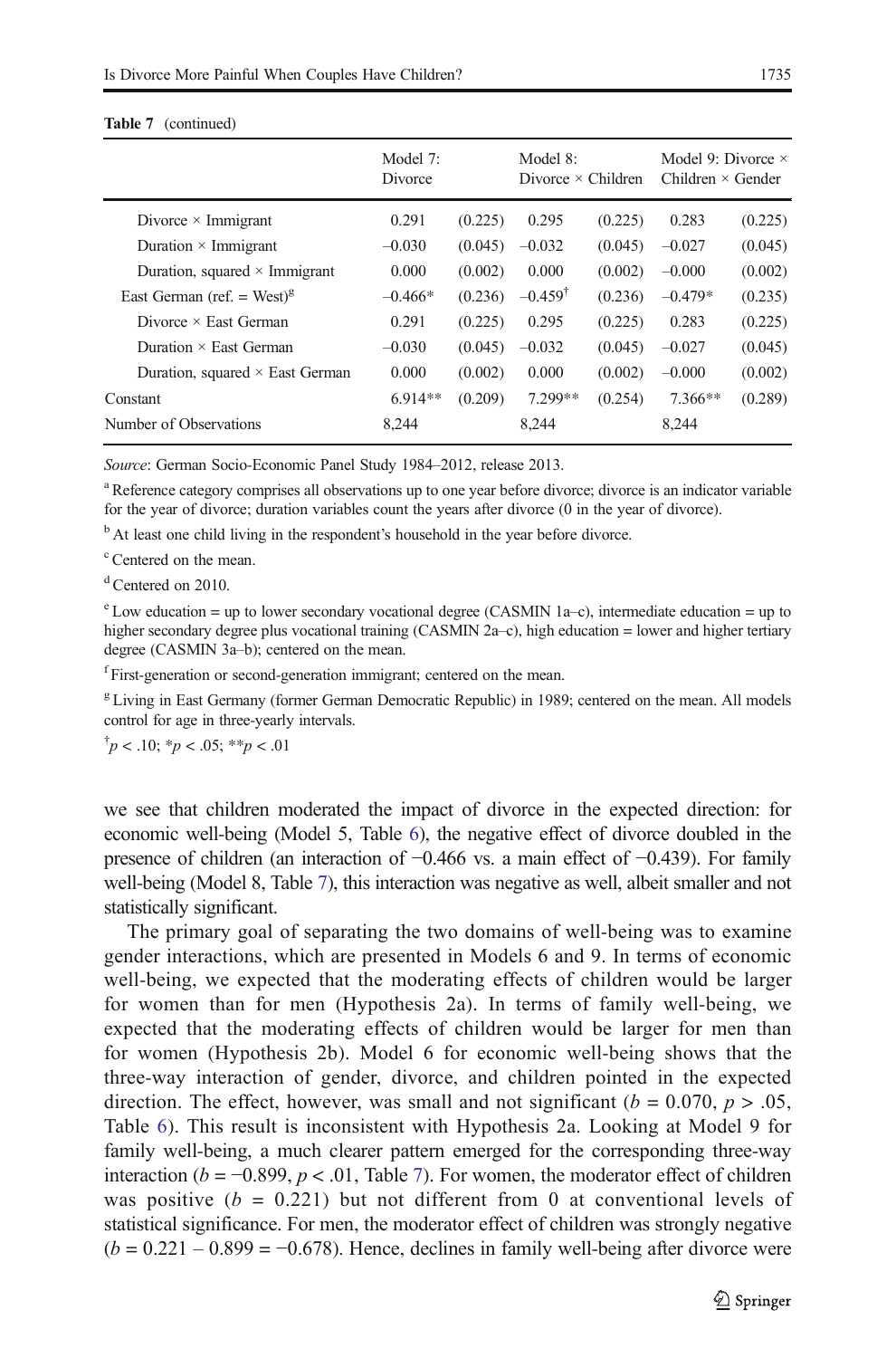#### Table 7 (continued)

|                                        | Model 7:<br>Divorce |         | Model 8:<br>Divorce $\times$ Children |         | Model 9: Divorce $\times$<br>Children $\times$ Gender |         |
|----------------------------------------|---------------------|---------|---------------------------------------|---------|-------------------------------------------------------|---------|
| Divorce $\times$ Immigrant             | 0.291               | (0.225) | 0.295                                 | (0.225) | 0.283                                                 | (0.225) |
| Duration $\times$ Immigrant            | $-0.030$            | (0.045) | $-0.032$                              | (0.045) | $-0.027$                                              | (0.045) |
| Duration, squared $\times$ Immigrant   | 0.000               | (0.002) | 0.000                                 | (0.002) | $-0.000$                                              | (0.002) |
| East German (ref. = West) <sup>g</sup> | $-0.466*$           | (0.236) | $-0.459^{\dagger}$                    | (0.236) | $-0.479*$                                             | (0.235) |
| Divorce $\times$ East German           | 0.291               | (0.225) | 0.295                                 | (0.225) | 0.283                                                 | (0.225) |
| Duration $\times$ East German          | $-0.030$            | (0.045) | $-0.032$                              | (0.045) | $-0.027$                                              | (0.045) |
| Duration, squared $\times$ East German | 0.000               | (0.002) | 0.000                                 | (0.002) | $-0.000$                                              | (0.002) |
| Constant                               | $6.914**$           | (0.209) | 7.299**                               | (0.254) | 7.366**                                               | (0.289) |
| Number of Observations                 | 8.244               |         | 8.244                                 |         | 8.244                                                 |         |

Source: German Socio-Economic Panel Study 1984–2012, release 2013.

<sup>a</sup> Reference category comprises all observations up to one year before divorce; divorce is an indicator variable for the year of divorce; duration variables count the years after divorce (0 in the year of divorce).

<sup>b</sup> At least one child living in the respondent's household in the year before divorce.

<sup>c</sup> Centered on the mean.

 $d$  Centered on 2010.

 $e^{\epsilon}$  Low education = up to lower secondary vocational degree (CASMIN 1a–c), intermediate education = up to higher secondary degree plus vocational training (CASMIN 2a–c), high education = lower and higher tertiary degree (CASMIN 3a–b); centered on the mean.

f First-generation or second-generation immigrant; centered on the mean.

<sup>g</sup> Living in East Germany (former German Democratic Republic) in 1989; centered on the mean. All models control for age in three-yearly intervals.

 $\phi_p$  < .10; \* $p$  < .05; \*\* $p$  < .01

we see that children moderated the impact of divorce in the expected direction: for economic well-being (Model 5, Table [6\)](#page-15-0), the negative effect of divorce doubled in the presence of children (an interaction of −0.466 vs. a main effect of −0.439). For family well-being (Model 8, Table [7\)](#page-17-0), this interaction was negative as well, albeit smaller and not statistically significant.

The primary goal of separating the two domains of well-being was to examine gender interactions, which are presented in Models 6 and 9. In terms of economic well-being, we expected that the moderating effects of children would be larger for women than for men (Hypothesis 2a). In terms of family well-being, we expected that the moderating effects of children would be larger for men than for women (Hypothesis 2b). Model 6 for economic well-being shows that the three-way interaction of gender, divorce, and children pointed in the expected direction. The effect, however, was small and not significant ( $b = 0.070$ ,  $p > 0.05$ , Table [6](#page-15-0)). This result is inconsistent with Hypothesis 2a. Looking at Model 9 for family well-being, a much clearer pattern emerged for the corresponding three-way interaction ( $b = -0.899$ ,  $p < .01$ , Table [7](#page-17-0)). For women, the moderator effect of children was positive  $(b = 0.221)$  but not different from 0 at conventional levels of statistical significance. For men, the moderator effect of children was strongly negative  $(b = 0.221 - 0.899 = -0.678)$ . Hence, declines in family well-being after divorce were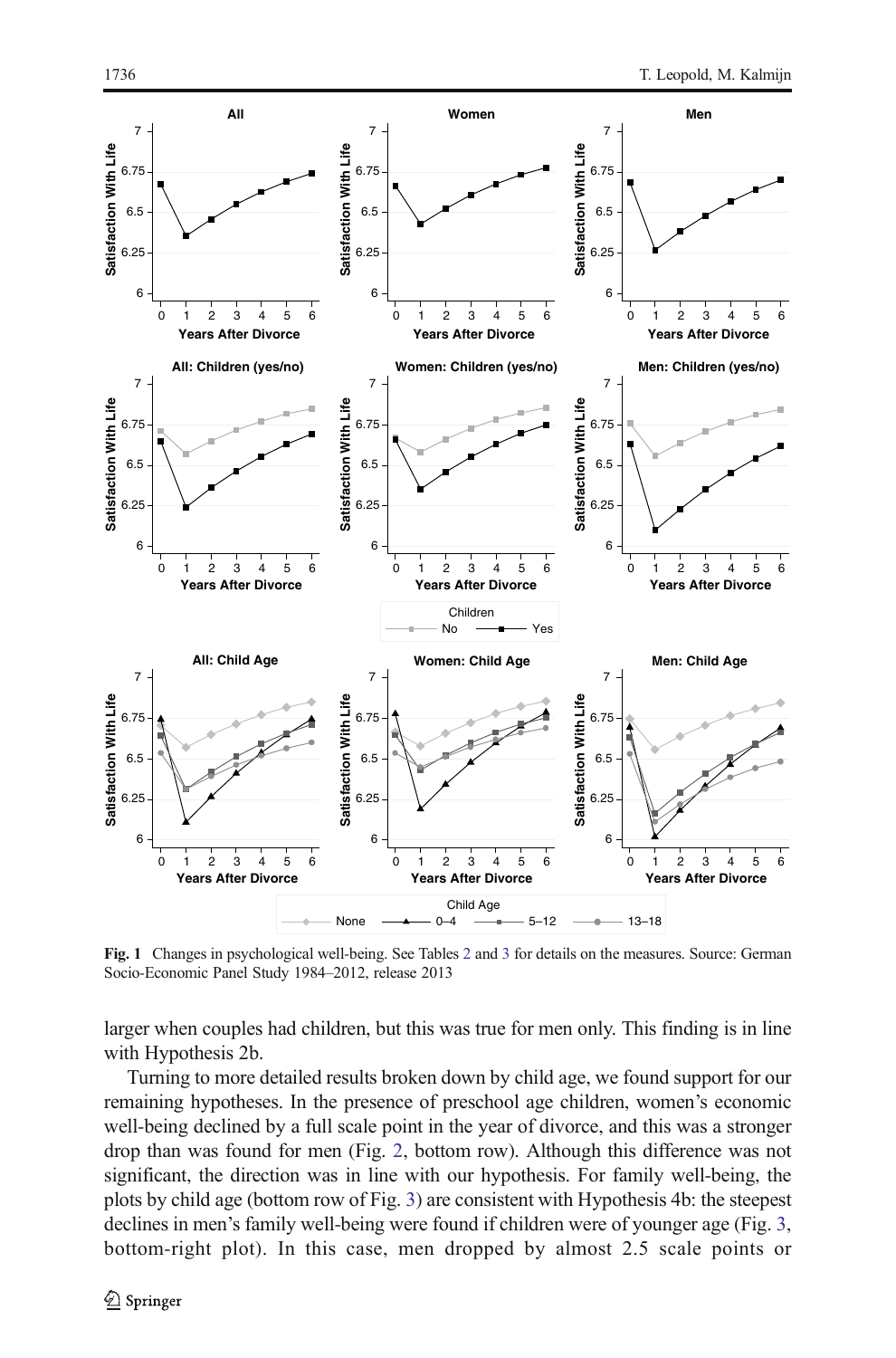<span id="page-19-0"></span>

Fig. 1 Changes in psychological well-being. See Tables [2](#page-9-0) and [3](#page-11-0) for details on the measures. Source: German Socio-Economic Panel Study 1984–2012, release 2013

larger when couples had children, but this was true for men only. This finding is in line with Hypothesis 2b.

Turning to more detailed results broken down by child age, we found support for our remaining hypotheses. In the presence of preschool age children, women's economic well-being declined by a full scale point in the year of divorce, and this was a stronger drop than was found for men (Fig. [2,](#page-20-0) bottom row). Although this difference was not significant, the direction was in line with our hypothesis. For family well-being, the plots by child age (bottom row of Fig. [3\)](#page-21-0) are consistent with Hypothesis 4b: the steepest declines in men's family well-being were found if children were of younger age (Fig. [3,](#page-21-0) bottom-right plot). In this case, men dropped by almost 2.5 scale points or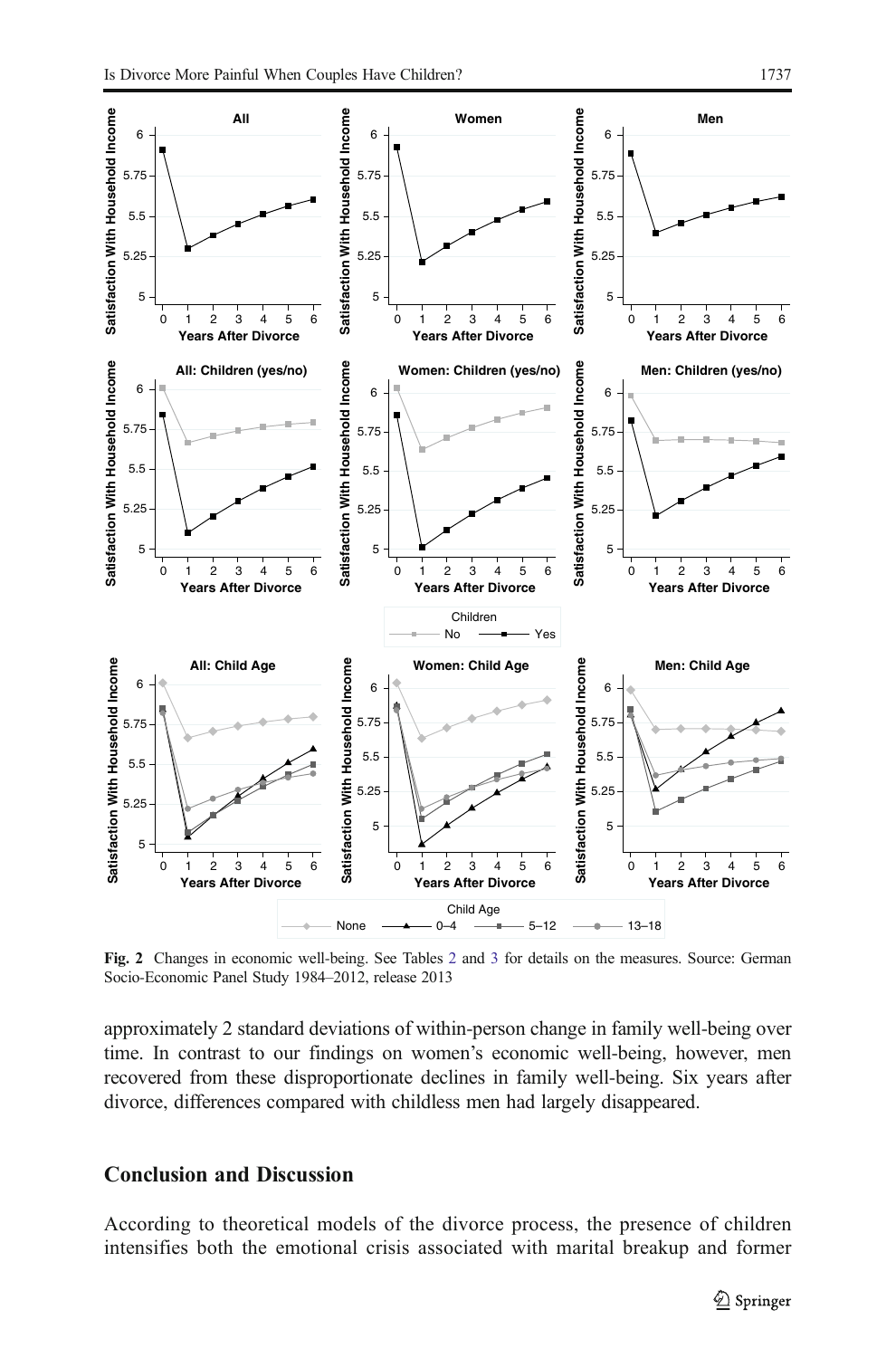<span id="page-20-0"></span>

Fig. 2 Changes in economic well-being. See Tables [2](#page-9-0) and [3](#page-11-0) for details on the measures. Source: German Socio-Economic Panel Study 1984–2012, release 2013

approximately 2 standard deviations of within-person change in family well-being over time. In contrast to our findings on women's economic well-being, however, men recovered from these disproportionate declines in family well-being. Six years after divorce, differences compared with childless men had largely disappeared.

# Conclusion and Discussion

According to theoretical models of the divorce process, the presence of children intensifies both the emotional crisis associated with marital breakup and former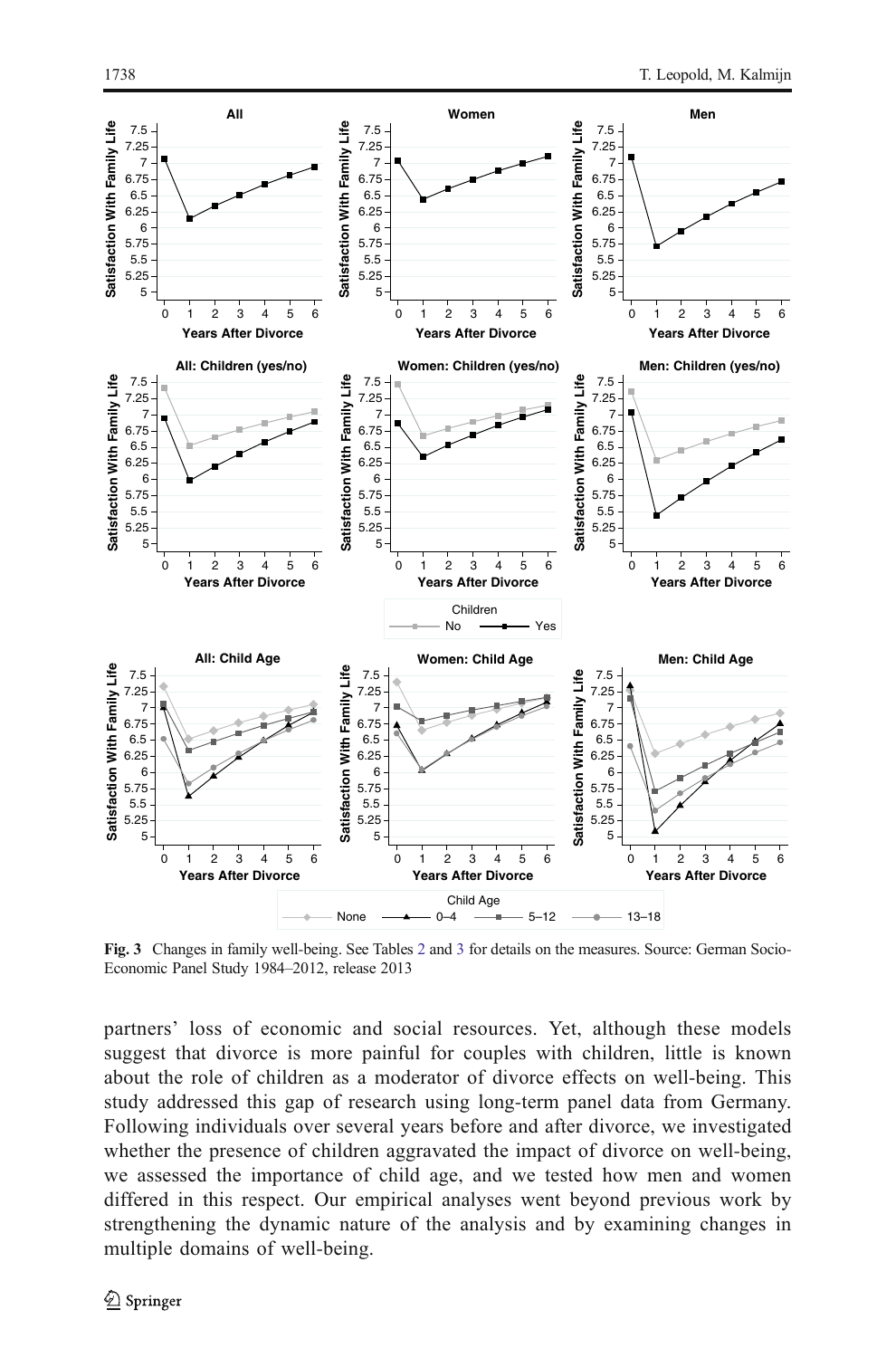<span id="page-21-0"></span>

Fig. 3 Changes in family well-being. See Tables [2](#page-9-0) and [3](#page-11-0) for details on the measures. Source: German Socio-Economic Panel Study 1984–2012, release 2013

partners' loss of economic and social resources. Yet, although these models suggest that divorce is more painful for couples with children, little is known about the role of children as a moderator of divorce effects on well-being. This study addressed this gap of research using long-term panel data from Germany. Following individuals over several years before and after divorce, we investigated whether the presence of children aggravated the impact of divorce on well-being, we assessed the importance of child age, and we tested how men and women differed in this respect. Our empirical analyses went beyond previous work by strengthening the dynamic nature of the analysis and by examining changes in multiple domains of well-being.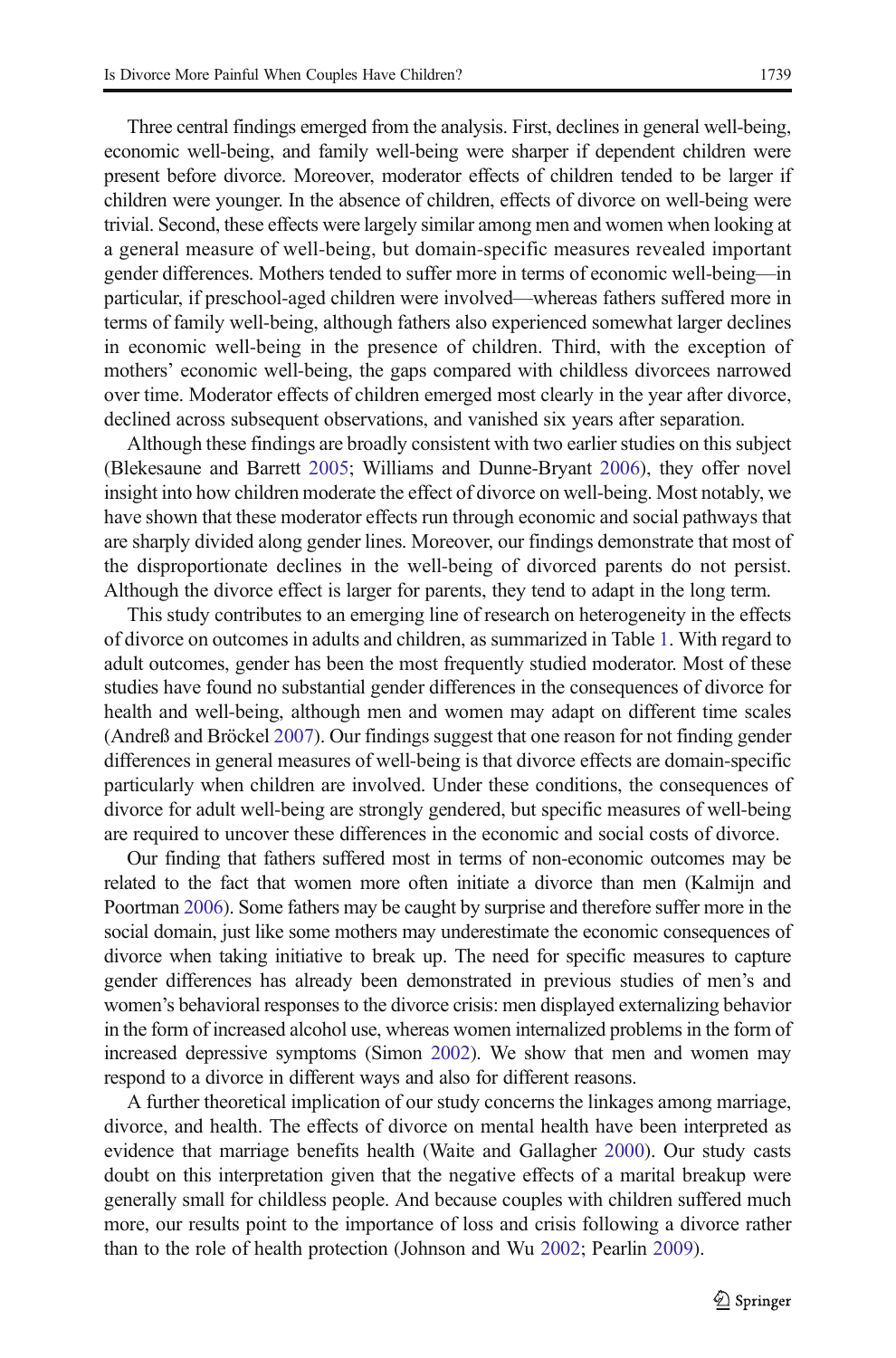Three central findings emerged from the analysis. First, declines in general well-being, economic well-being, and family well-being were sharper if dependent children were present before divorce. Moreover, moderator effects of children tended to be larger if children were younger. In the absence of children, effects of divorce on well-being were trivial. Second, these effects were largely similar among men and women when looking at a general measure of well-being, but domain-specific measures revealed important gender differences. Mothers tended to suffer more in terms of economic well-being—in particular, if preschool-aged children were involved—whereas fathers suffered more in terms of family well-being, although fathers also experienced somewhat larger declines in economic well-being in the presence of children. Third, with the exception of mothers' economic well-being, the gaps compared with childless divorcees narrowed over time. Moderator effects of children emerged most clearly in the year after divorce, declined across subsequent observations, and vanished six years after separation.

Although these findings are broadly consistent with two earlier studies on this subject (Blekesaune and Barrett [2005](#page-23-0); Williams and Dunne-Bryant [2006\)](#page-25-0), they offer novel insight into how children moderate the effect of divorce on well-being. Most notably, we have shown that these moderator effects run through economic and social pathways that are sharply divided along gender lines. Moreover, our findings demonstrate that most of the disproportionate declines in the well-being of divorced parents do not persist. Although the divorce effect is larger for parents, they tend to adapt in the long term.

This study contributes to an emerging line of research on heterogeneity in the effects of divorce on outcomes in adults and children, as summarized in Table [1](#page-3-0). With regard to adult outcomes, gender has been the most frequently studied moderator. Most of these studies have found no substantial gender differences in the consequences of divorce for health and well-being, although men and women may adapt on different time scales (Andreß and Bröckel [2007\)](#page-23-0). Our findings suggest that one reason for not finding gender differences in general measures of well-being is that divorce effects are domain-specific particularly when children are involved. Under these conditions, the consequences of divorce for adult well-being are strongly gendered, but specific measures of well-being are required to uncover these differences in the economic and social costs of divorce.

Our finding that fathers suffered most in terms of non-economic outcomes may be related to the fact that women more often initiate a divorce than men (Kalmijn and Poortman [2006](#page-24-0)). Some fathers may be caught by surprise and therefore suffer more in the social domain, just like some mothers may underestimate the economic consequences of divorce when taking initiative to break up. The need for specific measures to capture gender differences has already been demonstrated in previous studies of men's and women's behavioral responses to the divorce crisis: men displayed externalizing behavior in the form of increased alcohol use, whereas women internalized problems in the form of increased depressive symptoms (Simon [2002\)](#page-24-0). We show that men and women may respond to a divorce in different ways and also for different reasons.

A further theoretical implication of our study concerns the linkages among marriage, divorce, and health. The effects of divorce on mental health have been interpreted as evidence that marriage benefits health (Waite and Gallagher [2000](#page-25-0)). Our study casts doubt on this interpretation given that the negative effects of a marital breakup were generally small for childless people. And because couples with children suffered much more, our results point to the importance of loss and crisis following a divorce rather than to the role of health protection (Johnson and Wu [2002;](#page-24-0) Pearlin [2009](#page-24-0)).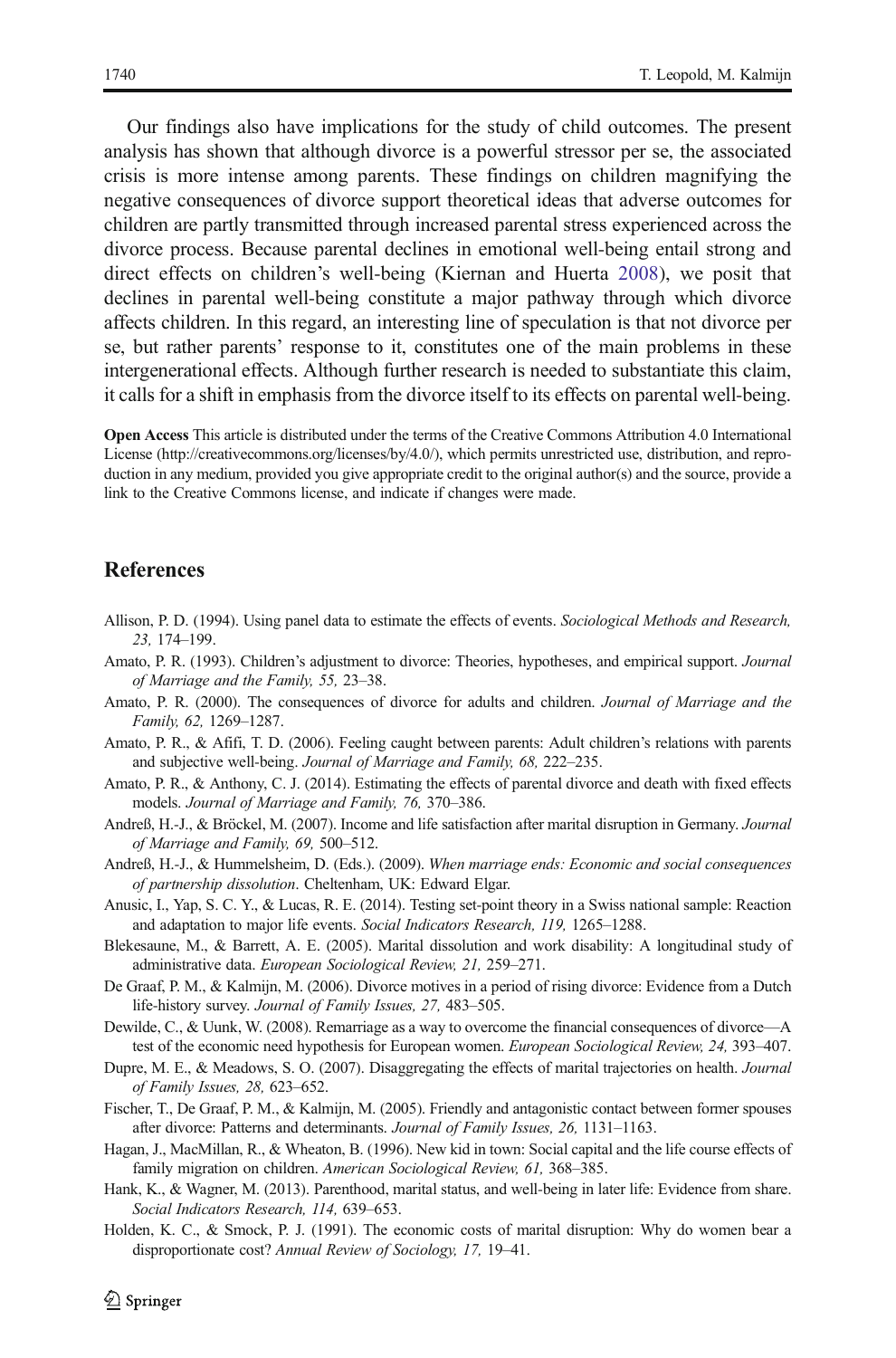<span id="page-23-0"></span>Our findings also have implications for the study of child outcomes. The present analysis has shown that although divorce is a powerful stressor per se, the associated crisis is more intense among parents. These findings on children magnifying the negative consequences of divorce support theoretical ideas that adverse outcomes for children are partly transmitted through increased parental stress experienced across the divorce process. Because parental declines in emotional well-being entail strong and direct effects on children's well-being (Kiernan and Huerta [2008](#page-24-0)), we posit that declines in parental well-being constitute a major pathway through which divorce affects children. In this regard, an interesting line of speculation is that not divorce per se, but rather parents' response to it, constitutes one of the main problems in these intergenerational effects. Although further research is needed to substantiate this claim, it calls for a shift in emphasis from the divorce itself to its effects on parental well-being.

Open Access This article is distributed under the terms of the Creative Commons Attribution 4.0 International License (http://creativecommons.org/licenses/by/4.0/), which permits unrestricted use, distribution, and reproduction in any medium, provided you give appropriate credit to the original author(s) and the source, provide a link to the Creative Commons license, and indicate if changes were made.

# **References**

- Allison, P. D. (1994). Using panel data to estimate the effects of events. Sociological Methods and Research, 23, 174–199.
- Amato, P. R. (1993). Children's adjustment to divorce: Theories, hypotheses, and empirical support. Journal of Marriage and the Family, 55, 23–38.
- Amato, P. R. (2000). The consequences of divorce for adults and children. Journal of Marriage and the Family, 62, 1269–1287.
- Amato, P. R., & Afifi, T. D. (2006). Feeling caught between parents: Adult children's relations with parents and subjective well-being. Journal of Marriage and Family, 68, 222–235.
- Amato, P. R., & Anthony, C. J. (2014). Estimating the effects of parental divorce and death with fixed effects models. Journal of Marriage and Family, 76, 370–386.
- Andreß, H.-J., & Bröckel, M. (2007). Income and life satisfaction after marital disruption in Germany. Journal of Marriage and Family, 69, 500–512.
- Andreß, H.-J., & Hummelsheim, D. (Eds.). (2009). When marriage ends: Economic and social consequences of partnership dissolution. Cheltenham, UK: Edward Elgar.
- Anusic, I., Yap, S. C. Y., & Lucas, R. E. (2014). Testing set-point theory in a Swiss national sample: Reaction and adaptation to major life events. Social Indicators Research, 119, 1265–1288.
- Blekesaune, M., & Barrett, A. E. (2005). Marital dissolution and work disability: A longitudinal study of administrative data. European Sociological Review, 21, 259–271.
- De Graaf, P. M., & Kalmijn, M. (2006). Divorce motives in a period of rising divorce: Evidence from a Dutch life-history survey. Journal of Family Issues, 27, 483–505.
- Dewilde, C., & Uunk, W. (2008). Remarriage as a way to overcome the financial consequences of divorce—A test of the economic need hypothesis for European women. European Sociological Review, 24, 393–407.
- Dupre, M. E., & Meadows, S. O. (2007). Disaggregating the effects of marital trajectories on health. Journal of Family Issues, 28, 623–652.
- Fischer, T., De Graaf, P. M., & Kalmijn, M. (2005). Friendly and antagonistic contact between former spouses after divorce: Patterns and determinants. Journal of Family Issues, 26, 1131–1163.
- Hagan, J., MacMillan, R., & Wheaton, B. (1996). New kid in town: Social capital and the life course effects of family migration on children. American Sociological Review, 61, 368–385.
- Hank, K., & Wagner, M. (2013). Parenthood, marital status, and well-being in later life: Evidence from share. Social Indicators Research, 114, 639–653.
- Holden, K. C., & Smock, P. J. (1991). The economic costs of marital disruption: Why do women bear a disproportionate cost? Annual Review of Sociology, 17, 19–41.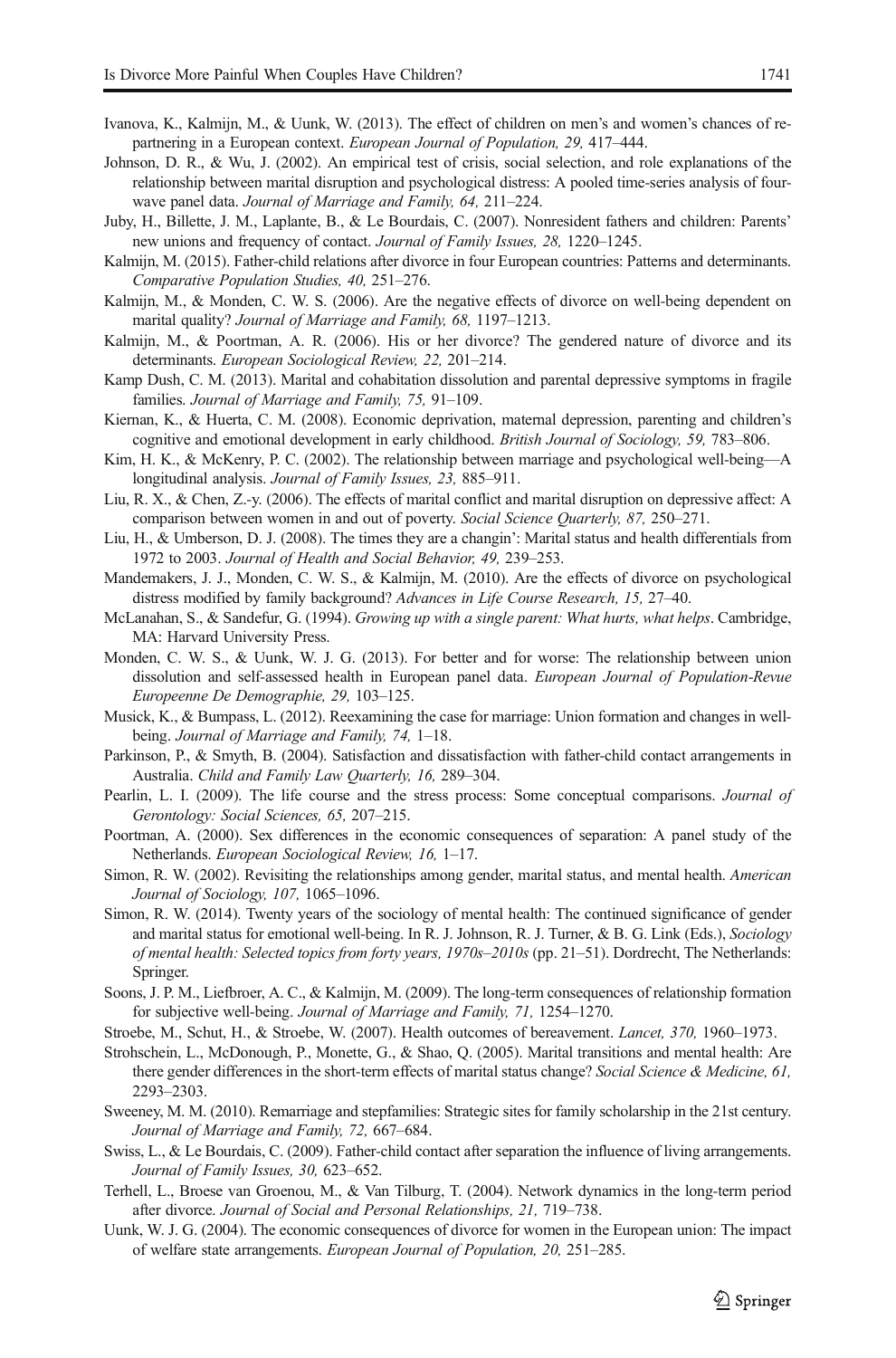- <span id="page-24-0"></span>Ivanova, K., Kalmijn, M., & Uunk, W. (2013). The effect of children on men's and women's chances of repartnering in a European context. European Journal of Population, 29, 417-444.
- Johnson, D. R., & Wu, J. (2002). An empirical test of crisis, social selection, and role explanations of the relationship between marital disruption and psychological distress: A pooled time-series analysis of fourwave panel data. Journal of Marriage and Family, 64, 211–224.
- Juby, H., Billette, J. M., Laplante, B., & Le Bourdais, C. (2007). Nonresident fathers and children: Parents' new unions and frequency of contact. Journal of Family Issues, 28, 1220–1245.
- Kalmijn, M. (2015). Father-child relations after divorce in four European countries: Patterns and determinants. Comparative Population Studies, 40, 251–276.
- Kalmijn, M., & Monden, C. W. S. (2006). Are the negative effects of divorce on well-being dependent on marital quality? Journal of Marriage and Family, 68, 1197–1213.
- Kalmijn, M., & Poortman, A. R. (2006). His or her divorce? The gendered nature of divorce and its determinants. European Sociological Review, 22, 201–214.
- Kamp Dush, C. M. (2013). Marital and cohabitation dissolution and parental depressive symptoms in fragile families. Journal of Marriage and Family, 75, 91–109.
- Kiernan, K., & Huerta, C. M. (2008). Economic deprivation, maternal depression, parenting and children's cognitive and emotional development in early childhood. British Journal of Sociology, 59, 783–806.
- Kim, H. K., & McKenry, P. C. (2002). The relationship between marriage and psychological well-being—A longitudinal analysis. Journal of Family Issues, 23, 885–911.
- Liu, R. X., & Chen, Z.-y. (2006). The effects of marital conflict and marital disruption on depressive affect: A comparison between women in and out of poverty. Social Science Quarterly, 87, 250–271.
- Liu, H., & Umberson, D. J. (2008). The times they are a changin': Marital status and health differentials from 1972 to 2003. Journal of Health and Social Behavior, 49, 239–253.
- Mandemakers, J. J., Monden, C. W. S., & Kalmijn, M. (2010). Are the effects of divorce on psychological distress modified by family background? Advances in Life Course Research, 15, 27–40.
- McLanahan, S., & Sandefur, G. (1994). Growing up with a single parent: What hurts, what helps. Cambridge, MA: Harvard University Press.
- Monden, C. W. S., & Uunk, W. J. G. (2013). For better and for worse: The relationship between union dissolution and self-assessed health in European panel data. European Journal of Population-Revue Europeenne De Demographie, 29, 103–125.
- Musick, K., & Bumpass, L. (2012). Reexamining the case for marriage: Union formation and changes in wellbeing. Journal of Marriage and Family, 74, 1–18.
- Parkinson, P., & Smyth, B. (2004). Satisfaction and dissatisfaction with father-child contact arrangements in Australia. Child and Family Law Quarterly, 16, 289–304.
- Pearlin, L. I. (2009). The life course and the stress process: Some conceptual comparisons. Journal of Gerontology: Social Sciences, 65, 207–215.
- Poortman, A. (2000). Sex differences in the economic consequences of separation: A panel study of the Netherlands. European Sociological Review, 16, 1–17.
- Simon, R. W. (2002). Revisiting the relationships among gender, marital status, and mental health. American Journal of Sociology, 107, 1065–1096.
- Simon, R. W. (2014). Twenty years of the sociology of mental health: The continued significance of gender and marital status for emotional well-being. In R. J. Johnson, R. J. Turner, & B. G. Link (Eds.), Sociology of mental health: Selected topics from forty years, 1970s–2010s (pp. 21–51). Dordrecht, The Netherlands: Springer.
- Soons, J. P. M., Liefbroer, A. C., & Kalmijn, M. (2009). The long-term consequences of relationship formation for subjective well-being. Journal of Marriage and Family, 71, 1254–1270.
- Stroebe, M., Schut, H., & Stroebe, W. (2007). Health outcomes of bereavement. Lancet, 370, 1960–1973.
- Strohschein, L., McDonough, P., Monette, G., & Shao, Q. (2005). Marital transitions and mental health: Are there gender differences in the short-term effects of marital status change? Social Science & Medicine, 61, 2293–2303.
- Sweeney, M. M. (2010). Remarriage and stepfamilies: Strategic sites for family scholarship in the 21st century. Journal of Marriage and Family, 72, 667–684.
- Swiss, L., & Le Bourdais, C. (2009). Father-child contact after separation the influence of living arrangements. Journal of Family Issues, 30, 623–652.
- Terhell, L., Broese van Groenou, M., & Van Tilburg, T. (2004). Network dynamics in the long-term period after divorce. Journal of Social and Personal Relationships, 21, 719–738.
- Uunk, W. J. G. (2004). The economic consequences of divorce for women in the European union: The impact of welfare state arrangements. European Journal of Population, 20, 251–285.